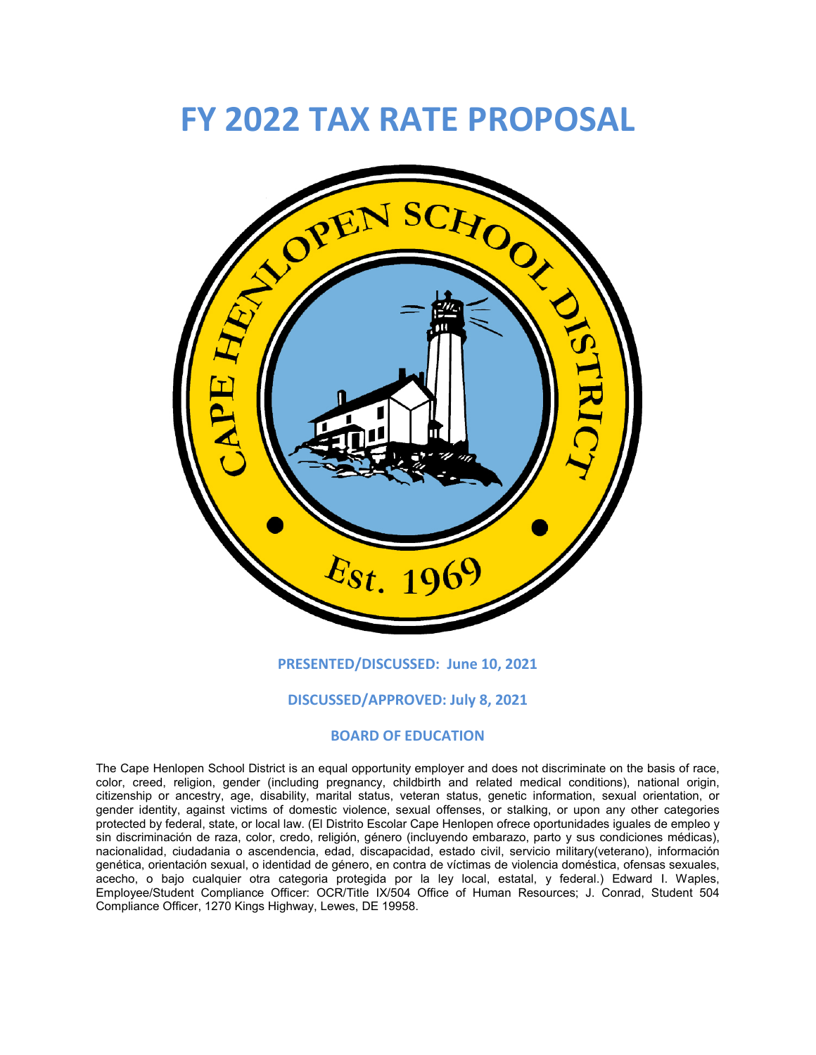# **FY 2022 TAX RATE PROPOSAL**



#### **PRESENTED/DISCUSSED: June 10, 2021**

#### **DISCUSSED/APPROVED: July 8, 2021**

#### **BOARD OF EDUCATION**

The Cape Henlopen School District is an equal opportunity employer and does not discriminate on the basis of race, color, creed, religion, gender (including pregnancy, childbirth and related medical conditions), national origin, citizenship or ancestry, age, disability, marital status, veteran status, genetic information, sexual orientation, or gender identity, against victims of domestic violence, sexual offenses, or stalking, or upon any other categories protected by federal, state, or local law. (El Distrito Escolar Cape Henlopen ofrece oportunidades iguales de empleo y sin discriminación de raza, color, credo, religión, género (incluyendo embarazo, parto y sus condiciones médicas), nacionalidad, ciudadania o ascendencia, edad, discapacidad, estado civil, servicio military(veterano), información genética, orientación sexual, o identidad de género, en contra de víctimas de violencia doméstica, ofensas sexuales, acecho, o bajo cualquier otra categoria protegida por la ley local, estatal, y federal.) Edward I. Waples, Employee/Student Compliance Officer: OCR/Title IX/504 Office of Human Resources; J. Conrad, Student 504 Compliance Officer, 1270 Kings Highway, Lewes, DE 19958.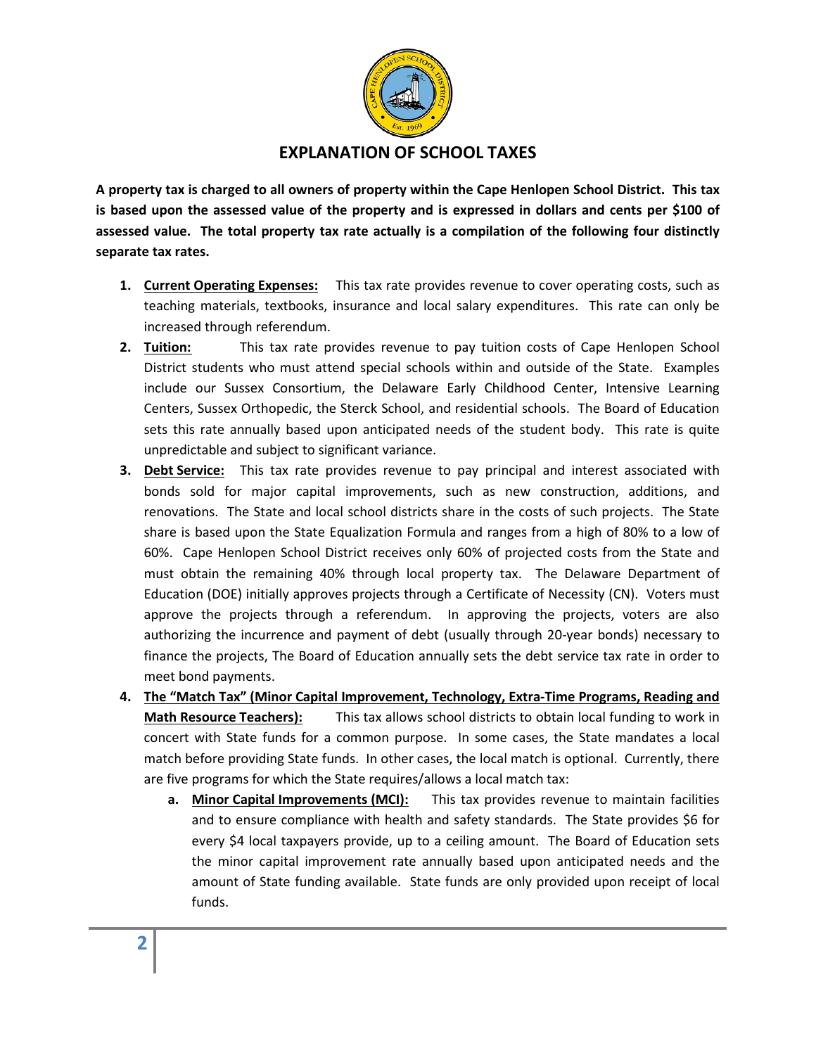

**A property tax is charged to all owners of property within the Cape Henlopen School District. This tax is based upon the assessed value of the property and is expressed in dollars and cents per \$100 of assessed value. The total property tax rate actually is a compilation of the following four distinctly separate tax rates.**

- **1. Current Operating Expenses:** This tax rate provides revenue to cover operating costs, such as teaching materials, textbooks, insurance and local salary expenditures. This rate can only be increased through referendum.
- **2. Tuition:** This tax rate provides revenue to pay tuition costs of Cape Henlopen School District students who must attend special schools within and outside of the State. Examples include our Sussex Consortium, the Delaware Early Childhood Center, Intensive Learning Centers, Sussex Orthopedic, the Sterck School, and residential schools. The Board of Education sets this rate annually based upon anticipated needs of the student body. This rate is quite unpredictable and subject to significant variance.
- **3. Debt Service:** This tax rate provides revenue to pay principal and interest associated with bonds sold for major capital improvements, such as new construction, additions, and renovations. The State and local school districts share in the costs of such projects. The State share is based upon the State Equalization Formula and ranges from a high of 80% to a low of 60%. Cape Henlopen School District receives only 60% of projected costs from the State and must obtain the remaining 40% through local property tax. The Delaware Department of Education (DOE) initially approves projects through a Certificate of Necessity (CN). Voters must approve the projects through a referendum. In approving the projects, voters are also authorizing the incurrence and payment of debt (usually through 20-year bonds) necessary to finance the projects, The Board of Education annually sets the debt service tax rate in order to meet bond payments.
- **4. The "Match Tax" (Minor Capital Improvement, Technology, Extra-Time Programs, Reading and Math Resource Teachers):** This tax allows school districts to obtain local funding to work in concert with State funds for a common purpose. In some cases, the State mandates a local match before providing State funds. In other cases, the local match is optional. Currently, there are five programs for which the State requires/allows a local match tax:
	- **a. Minor Capital Improvements (MCI):** This tax provides revenue to maintain facilities and to ensure compliance with health and safety standards. The State provides \$6 for every \$4 local taxpayers provide, up to a ceiling amount. The Board of Education sets the minor capital improvement rate annually based upon anticipated needs and the amount of State funding available. State funds are only provided upon receipt of local funds.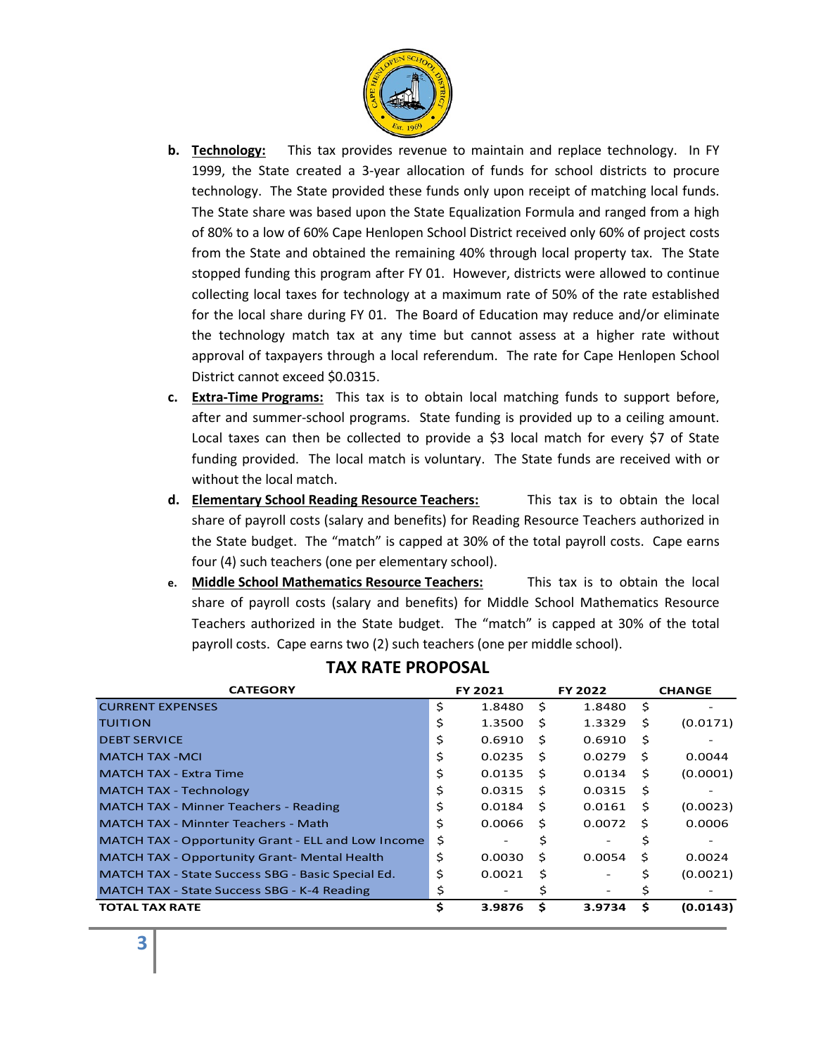

- **b. Technology:** This tax provides revenue to maintain and replace technology. In FY 1999, the State created a 3-year allocation of funds for school districts to procure technology. The State provided these funds only upon receipt of matching local funds. The State share was based upon the State Equalization Formula and ranged from a high of 80% to a low of 60% Cape Henlopen School District received only 60% of project costs from the State and obtained the remaining 40% through local property tax. The State stopped funding this program after FY 01. However, districts were allowed to continue collecting local taxes for technology at a maximum rate of 50% of the rate established for the local share during FY 01. The Board of Education may reduce and/or eliminate the technology match tax at any time but cannot assess at a higher rate without approval of taxpayers through a local referendum. The rate for Cape Henlopen School District cannot exceed \$0.0315.
- **c. Extra-Time Programs:** This tax is to obtain local matching funds to support before, after and summer-school programs. State funding is provided up to a ceiling amount. Local taxes can then be collected to provide a \$3 local match for every \$7 of State funding provided. The local match is voluntary. The State funds are received with or without the local match.
- **d. Elementary School Reading Resource Teachers:** This tax is to obtain the local share of payroll costs (salary and benefits) for Reading Resource Teachers authorized in the State budget. The "match" is capped at 30% of the total payroll costs. Cape earns four (4) such teachers (one per elementary school).
- **e. Middle School Mathematics Resource Teachers:** This tax is to obtain the local share of payroll costs (salary and benefits) for Middle School Mathematics Resource Teachers authorized in the State budget. The "match" is capped at 30% of the total payroll costs. Cape earns two (2) such teachers (one per middle school).

| <b>CATEGORY</b>                                     | FY 2021      |     | FY 2022                  |    | <b>CHANGE</b> |
|-----------------------------------------------------|--------------|-----|--------------------------|----|---------------|
| <b>CURRENT EXPENSES</b>                             | \$<br>1.8480 | \$  | 1.8480                   | \$ |               |
| <b>TUITION</b>                                      | \$<br>1.3500 | Ŝ.  | 1.3329                   | \$ | (0.0171)      |
| <b>DEBT SERVICE</b>                                 | \$<br>0.6910 | Ŝ.  | 0.6910                   | \$ |               |
| <b>MATCH TAX -MCI</b>                               | \$<br>0.0235 | -\$ | 0.0279                   | Ŝ. | 0.0044        |
| <b>MATCH TAX - Extra Time</b>                       | \$<br>0.0135 | Ŝ.  | 0.0134                   | Ś. | (0.0001)      |
| MATCH TAX - Technology                              | \$<br>0.0315 | Ŝ.  | 0.0315                   | \$ |               |
| <b>MATCH TAX - Minner Teachers - Reading</b>        | \$<br>0.0184 | Ŝ.  | 0.0161                   | \$ | (0.0023)      |
| <b>MATCH TAX - Minnter Teachers - Math</b>          | \$<br>0.0066 | Ŝ.  | 0.0072                   | Ŝ. | 0.0006        |
| MATCH TAX - Opportunity Grant - ELL and Low Income  | \$           | \$  |                          | \$ |               |
| <b>MATCH TAX - Opportunity Grant- Mental Health</b> | \$<br>0.0030 | Ś.  | 0.0054                   | Ś. | 0.0024        |
| MATCH TAX - State Success SBG - Basic Special Ed.   | \$<br>0.0021 | Ś   |                          | Ś. | (0.0021)      |
| MATCH TAX - State Success SBG - K-4 Reading         | \$           | \$  | $\overline{\phantom{a}}$ | Ş  |               |
| <b>TOTAL TAX RATE</b>                               | \$<br>3.9876 | \$  | 3.9734                   | \$ | (0.0143)      |

### **TAX RATE PROPOSAL**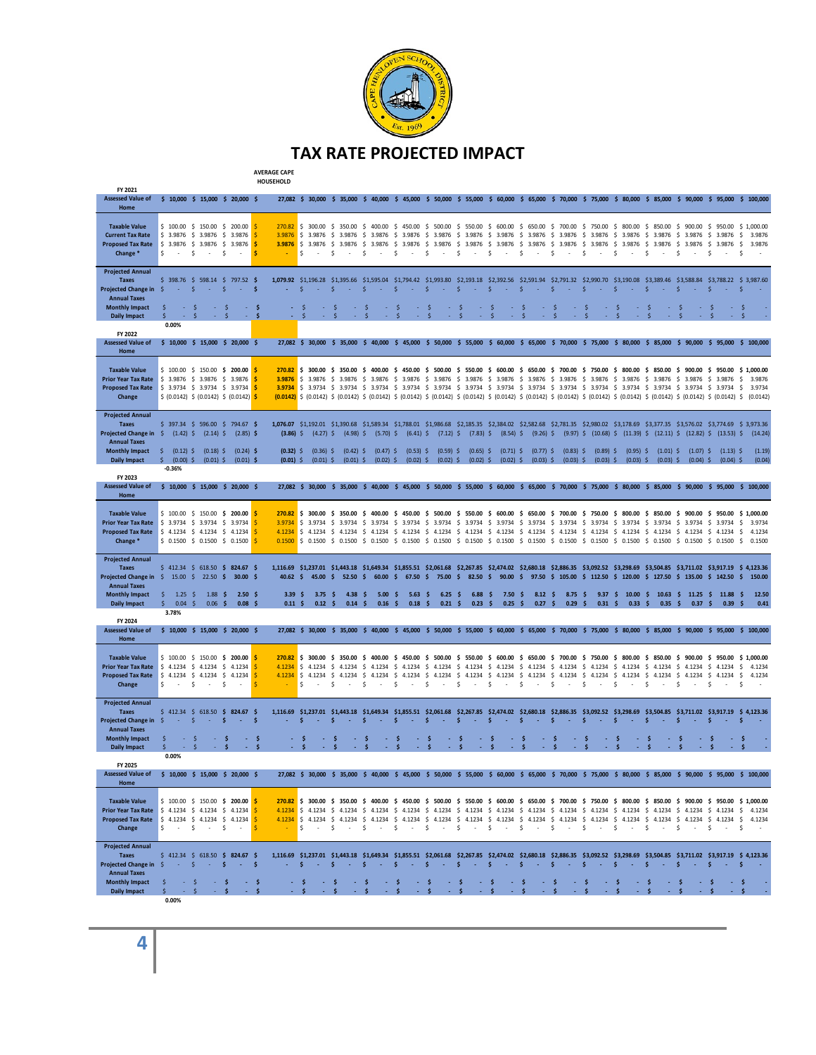

### **TAX RATE PROJECTED IMPACT**

**AVERAGE CAPE HOUSEHOLD**

| FY 2021                                                                                                  |                                                                                    |                                 |                                                                    | nvvjenver                         |                                        |                                                                                                                                                                                                                                                                                                                                        |                            |                                   |                                     |                                                                                                               |                                     |                                    |                                |                            |                            |                                                                                                      |                                     |                         |                                                                                                                                                                                                                                                   |
|----------------------------------------------------------------------------------------------------------|------------------------------------------------------------------------------------|---------------------------------|--------------------------------------------------------------------|-----------------------------------|----------------------------------------|----------------------------------------------------------------------------------------------------------------------------------------------------------------------------------------------------------------------------------------------------------------------------------------------------------------------------------------|----------------------------|-----------------------------------|-------------------------------------|---------------------------------------------------------------------------------------------------------------|-------------------------------------|------------------------------------|--------------------------------|----------------------------|----------------------------|------------------------------------------------------------------------------------------------------|-------------------------------------|-------------------------|---------------------------------------------------------------------------------------------------------------------------------------------------------------------------------------------------------------------------------------------------|
| <b>Assessed Value of</b>                                                                                 |                                                                                    |                                 | $$10,000 \$15,000 \$20,000 \$$                                     |                                   |                                        |                                                                                                                                                                                                                                                                                                                                        |                            |                                   |                                     |                                                                                                               |                                     |                                    |                                |                            |                            |                                                                                                      |                                     |                         | 27,082 \$ 30,000 \$ 35,000 \$ 40,000 \$ 45,000 \$ 50,000 \$ 55,000 \$ 60,000 \$ 65,000 \$ 70,000 \$ 75,000 \$ 80,000 \$ 85,000 \$ 90,000 \$ 95,000 \$ 100,000                                                                                     |
| Home                                                                                                     |                                                                                    |                                 |                                                                    |                                   |                                        |                                                                                                                                                                                                                                                                                                                                        |                            |                                   |                                     |                                                                                                               |                                     |                                    |                                |                            |                            |                                                                                                      |                                     |                         |                                                                                                                                                                                                                                                   |
| <b>Taxable Value</b>                                                                                     |                                                                                    |                                 | $$100.00 \t$ 150.00 \t$ 200.00 \t$$                                |                                   |                                        | 270.82 \$ 300.00 \$ 350.00 \$ 400.00 \$ 450.00 \$ 500.00 \$ 550.00 \$ 600.00 \$ 650.00 \$ 700.00 \$ 750.00 \$ 800.00 \$ 850.00 \$ 900.00 \$ 950.00 \$ 1,000.00                                                                                                                                                                         |                            |                                   |                                     |                                                                                                               |                                     |                                    |                                |                            |                            |                                                                                                      |                                     |                         |                                                                                                                                                                                                                                                   |
| <b>Current Tax Rate</b>                                                                                  |                                                                                    |                                 | $$3.9876$ $$3.9876$ $$3.9876$ $$3.9876$ $$$                        |                                   |                                        | 3.9876 \$ 3.9876 \$ 3.9876 \$ 3.9876 \$ 3.9876 \$ 3.9876 \$ 3.9876 \$ 3.9876 \$ 3.9876 \$ 3.9876 \$ 3.9876 \$ 3.9876 \$ 3.9876 \$ 3.9876 \$ 3.9876 \$                                                                                                                                                                                  |                            |                                   |                                     |                                                                                                               |                                     |                                    |                                |                            |                            |                                                                                                      |                                     |                         | 3.9876                                                                                                                                                                                                                                            |
| <b>Proposed Tax Rate</b>                                                                                 |                                                                                    |                                 | $$3.9876$ $$3.9876$ $$3.9876$ $$3.9876$ $$$                        |                                   |                                        | 3.9876 \$ 3.9876 \$ 3.9876 \$ 3.9876 \$ 3.9876 \$ 3.9876 \$ 3.9876 \$ 3.9876 \$ 3.9876 \$ 3.9876 \$ 3.9876 \$ 3.9876 \$ 3.9876 \$ 3.9876 \$ 3.9876 \$                                                                                                                                                                                  |                            |                                   |                                     |                                                                                                               |                                     |                                    |                                |                            |                            |                                                                                                      |                                     |                         | 3.9876                                                                                                                                                                                                                                            |
| Change*                                                                                                  | $\sim$                                                                             | $\ddot{\mathsf{S}}$<br>$\sim$   | \$<br>$\sim$                                                       | l S<br>$\sim$                     | S.<br>$\sim$                           | Ŝ.<br>$\sim$                                                                                                                                                                                                                                                                                                                           | \$<br>$\sim$               | -\$<br>$\sim$                     | \$<br>$\sim$                        | \$<br>$\sim$                                                                                                  | \$<br>$\sim$                        | -\$<br>$\sim$                      | \$<br>$\sim$                   | \$<br>$\sim$               | \$<br>$\sim$               | \$<br>$\sim$                                                                                         | \$<br>$\sim$                        | \$<br>$\sim$            | \$                                                                                                                                                                                                                                                |
| <b>Projected Annual</b>                                                                                  |                                                                                    |                                 |                                                                    |                                   |                                        |                                                                                                                                                                                                                                                                                                                                        |                            |                                   |                                     |                                                                                                               |                                     |                                    |                                |                            |                            |                                                                                                      |                                     |                         |                                                                                                                                                                                                                                                   |
| <b>Taxes</b>                                                                                             |                                                                                    |                                 | \$ 398.76 \$ 598.14 \$ 797.52 \$                                   |                                   |                                        | 1,079.92 \$1,196.28 \$1,395.66 \$1,595.04 \$1,794.42 \$1,993.80 \$2,193.18 \$2,392.56 \$2,591.94 \$2,791.32 \$2,990.70 \$3,190.08 \$3,389.46 \$3,588.84 \$3,788.22 \$3,987.60                                                                                                                                                          |                            |                                   |                                     |                                                                                                               |                                     |                                    |                                |                            |                            |                                                                                                      |                                     |                         |                                                                                                                                                                                                                                                   |
| Projected Change in \$                                                                                   | $-5$                                                                               | $-5$                            | $\sim$                                                             | - \$                              | $\mathsf{S}$<br>$\sim 10$              | $\mathsf{S}$<br>$\sim$                                                                                                                                                                                                                                                                                                                 | $\sim$ 5<br>$\sim 10$      | \$<br>$\sim$                      | $\mathsf{S}$<br>$\Delta\sim 10$     | $\frac{1}{2}$<br><b>Carlos</b>                                                                                | $\mathsf{S}$<br>$-5$                | $\sim 100$                         | $-5$<br>S.                     | <b>Card</b>                | $\mathsf{S}$<br>$\sim$     | - \$<br>$\sim 10^{-1}$                                                                               | S.                                  | S.                      | Ŝ.                                                                                                                                                                                                                                                |
| <b>Annual Taxes</b>                                                                                      |                                                                                    |                                 |                                                                    |                                   |                                        |                                                                                                                                                                                                                                                                                                                                        |                            |                                   |                                     |                                                                                                               |                                     |                                    |                                |                            |                            |                                                                                                      |                                     |                         |                                                                                                                                                                                                                                                   |
| <b>Monthly Impact</b>                                                                                    | \$<br>- \$                                                                         |                                 | -Ŝ                                                                 | -Ś                                | \$                                     | \$                                                                                                                                                                                                                                                                                                                                     | \$                         | \$<br>a.                          | $\ddot{\varsigma}$<br>÷<br>÷.       | \$<br>÷.                                                                                                      | $-5$<br>$\mathcal{L}_{\mathcal{A}}$ | $-5$<br>÷.                         | $\sqrt{5}$<br>$\sim$<br>×.     | \$<br>¥.                   | $\ddot{\mathsf{s}}$        | -\$                                                                                                  | \$                                  | -\$                     | Ŝ.<br>Ŝ                                                                                                                                                                                                                                           |
| <b>Daily Impact</b>                                                                                      | Ś.<br>0.00%                                                                        | -\$                             | Ŝ.                                                                 |                                   | \$                                     | \$                                                                                                                                                                                                                                                                                                                                     | \$                         | \$                                | -\$                                 | \$                                                                                                            | \$                                  | \$                                 | \$                             | \$                         | \$                         | \$                                                                                                   | \$                                  | Ŝ.                      |                                                                                                                                                                                                                                                   |
| FY 2022                                                                                                  |                                                                                    |                                 |                                                                    |                                   |                                        |                                                                                                                                                                                                                                                                                                                                        |                            |                                   |                                     |                                                                                                               |                                     |                                    |                                |                            |                            |                                                                                                      |                                     |                         |                                                                                                                                                                                                                                                   |
| <b>Assessed Value of</b>                                                                                 |                                                                                    |                                 | \$ 10,000 \$ 15,000 \$ 20,000 \$                                   |                                   |                                        |                                                                                                                                                                                                                                                                                                                                        |                            |                                   |                                     |                                                                                                               |                                     |                                    |                                |                            |                            |                                                                                                      |                                     |                         | 27,082 \$ 30,000 \$ 35,000 \$ 40,000 \$ 45,000 \$ 50,000 \$ 55,000 \$ 60,000 \$ 65,000 \$ 70,000 \$ 875,000 \$ 85,000 \$ 90,000 \$ 95,000 \$ 100,000                                                                                              |
| Home                                                                                                     |                                                                                    |                                 |                                                                    |                                   |                                        |                                                                                                                                                                                                                                                                                                                                        |                            |                                   |                                     |                                                                                                               |                                     |                                    |                                |                            |                            |                                                                                                      |                                     |                         |                                                                                                                                                                                                                                                   |
| <b>Taxable Value</b>                                                                                     |                                                                                    |                                 | $$100.00 \t$ 150.00 \t$ 200.00 \t$$                                |                                   |                                        | 270.82 \$ 300.00 \$ 350.00 \$ 400.00 \$ 450.00 \$ 500.00 \$ 550.00 \$ 600.00 \$ 650.00 \$ 700.00 \$ 750.00 \$ 850.00 \$ 850.00 \$ 900.00 \$ 950.00 \$ 1,000.00                                                                                                                                                                         |                            |                                   |                                     |                                                                                                               |                                     |                                    |                                |                            |                            |                                                                                                      |                                     |                         |                                                                                                                                                                                                                                                   |
| <b>Prior Year Tax Rate</b>                                                                               | $$3.9876 \t$ 3.9876 \t$ 3.9876$                                                    |                                 |                                                                    |                                   |                                        | <b>3.9876</b> \$3.9876 \$3.9876 \$3.9876 \$3.9876                                                                                                                                                                                                                                                                                      |                            |                                   |                                     | \$ 3.9876 \$ 3.9876 \$ 3.9876 \$ 3.9876 \$ 3.9876 \$ 3.9876 \$ 3.9876 \$ 3.9876 \$ 3.9876 \$ 3.9876 \$ 3.9876 |                                     |                                    |                                |                            |                            |                                                                                                      |                                     |                         |                                                                                                                                                                                                                                                   |
| <b>Proposed Tax Rate</b>                                                                                 | $$3.9734 \t$ 3.9734 \t$ 3.9734$                                                    |                                 |                                                                    |                                   |                                        | 3.9734 \$ 3.9734 \$ 3.9734 \$ 3.9734 \$ 3.9734 \$ 3.9734 \$ 3.9734 \$ 3.9734 \$ 3.9734 \$ 3.9734 \$ 3.9734 \$ 3.9734 \$ 3.9734 \$ 3.9734 \$ 3.9734 \$ 3.9734                                                                                                                                                                           |                            |                                   |                                     |                                                                                                               |                                     |                                    |                                |                            |                            |                                                                                                      |                                     |                         |                                                                                                                                                                                                                                                   |
| Change                                                                                                   |                                                                                    |                                 | \$ (0.0142) \$ (0.0142) \$ (0.0142)                                |                                   |                                        |                                                                                                                                                                                                                                                                                                                                        |                            |                                   |                                     |                                                                                                               |                                     |                                    |                                |                            |                            |                                                                                                      |                                     |                         | $(0.0142)$ \$ (0.0142) \$ (0.0142) \$ (0.0142) \$ (0.0142) \$ (0.0142) \$ (0.0142) \$ (0.0142) \$ (0.0142) \$ (0.0142) \$ (0.0142) \$ (0.0142) \$ (0.0142) \$ (0.0142) \$ (0.0142) \$ (0.0142) \$ (0.0142) \$ (0.0142) \$ (0.0142) \$ (0.0142) \$ |
| <b>Projected Annual</b>                                                                                  |                                                                                    |                                 |                                                                    |                                   |                                        |                                                                                                                                                                                                                                                                                                                                        |                            |                                   |                                     |                                                                                                               |                                     |                                    |                                |                            |                            |                                                                                                      |                                     |                         |                                                                                                                                                                                                                                                   |
| <b>Taxes</b>                                                                                             |                                                                                    |                                 | \$ 397.34 \$ 596.00 \$ 794.67 \$                                   |                                   |                                        | 1,076.07 \$1,192.01 \$1,390.68 \$1,589.34 \$1,788.01 \$1,986.68 \$2,185.35 \$2,384.02 \$2,582.68 \$2,781.35 \$2,980.02 \$3,178.69 \$3,377.35 \$3,576.02 \$3,774.69 \$3,973.36                                                                                                                                                          |                            |                                   |                                     |                                                                                                               |                                     |                                    |                                |                            |                            |                                                                                                      |                                     |                         |                                                                                                                                                                                                                                                   |
| <b>Projected Change in</b> $\, \xi \quad (1.42) \quad \xi \quad (2.14) \quad \xi \quad (2.85) \quad \xi$ |                                                                                    |                                 |                                                                    |                                   |                                        | $(3.86)$ \$ $(4.27)$ \$ $(4.98)$ \$                                                                                                                                                                                                                                                                                                    | $(5.70)$ \$                |                                   |                                     | $(6.41)$ \$ $(7.12)$ \$ $(7.83)$ \$                                                                           |                                     |                                    |                                |                            |                            | $(8.54)$ \$ $(9.26)$ \$ $(9.97)$ \$ $(10.68)$ \$ $(11.39)$ \$ $(12.11)$ \$ $(12.82)$ \$ $(13.53)$ \$ |                                     |                         | (14.24)                                                                                                                                                                                                                                           |
| <b>Annual Taxes</b>                                                                                      |                                                                                    |                                 |                                                                    |                                   |                                        |                                                                                                                                                                                                                                                                                                                                        |                            |                                   |                                     |                                                                                                               |                                     |                                    |                                |                            |                            |                                                                                                      |                                     |                         |                                                                                                                                                                                                                                                   |
| <b>Monthly Impact</b><br><b>Daily Impact</b>                                                             | S.<br>$\frac{1}{2}$ (0.00) $\frac{1}{2}$ (0.01) $\frac{1}{2}$ (0.01) $\frac{1}{2}$ |                                 | $(0.12)$ \$ $(0.18)$ \$ $(0.24)$ \$                                | $(0.32)$ \$                       | $(0.36)$ \$<br>$(0.01)$ \$ $(0.01)$ \$ | $(0.42)$ \$<br>$(0.01)$ \$                                                                                                                                                                                                                                                                                                             | $(0.47)$ \$<br>$(0.02)$ \$ | $(0.53)$ \$<br>$(0.02)$ \$        | $(0.59)$ \$<br>$(0.02)$ \$          | $(0.65)$ \$<br>$(0.02)$ \$                                                                                    | $(0.71)$ \$<br>$(0.02)$ \$          | $(0.77)$ \$<br>$(0.03)$ \$         | $(0.83)$ \$<br>$(0.03)$ \$     | $(0.89)$ \$<br>$(0.03)$ \$ | $(0.95)$ \$<br>$(0.03)$ \$ | $(0.03)$ \$                                                                                          | $(1.01)$ \$ $(1.07)$ \$ $(1.13)$ \$ | $(0.04)$ \$ $(0.04)$ \$ | (1.19)<br>(0.04)                                                                                                                                                                                                                                  |
|                                                                                                          | $-0.36%$                                                                           |                                 |                                                                    |                                   |                                        |                                                                                                                                                                                                                                                                                                                                        |                            |                                   |                                     |                                                                                                               |                                     |                                    |                                |                            |                            |                                                                                                      |                                     |                         |                                                                                                                                                                                                                                                   |
| FY 2023                                                                                                  |                                                                                    |                                 |                                                                    |                                   |                                        |                                                                                                                                                                                                                                                                                                                                        |                            |                                   |                                     |                                                                                                               |                                     |                                    |                                |                            |                            |                                                                                                      |                                     |                         |                                                                                                                                                                                                                                                   |
| <b>Assessed Value of</b>                                                                                 |                                                                                    |                                 | $$10,000$$ \$ 15,000 \$ 20,000 \$                                  |                                   |                                        |                                                                                                                                                                                                                                                                                                                                        |                            |                                   |                                     |                                                                                                               |                                     |                                    |                                |                            |                            |                                                                                                      |                                     |                         | 27,082 \$ 30,000 \$ 35,000 \$ 40,000 \$ 45,000 \$ 50,000 \$ 55,000 \$ 60,000 \$ 65,000 \$ 70,000 \$ 75,000 \$ 80,000 \$ 85,000 \$ 90,000 \$ 95,000 \$ 100,000                                                                                     |
| Home                                                                                                     |                                                                                    |                                 |                                                                    |                                   |                                        |                                                                                                                                                                                                                                                                                                                                        |                            |                                   |                                     |                                                                                                               |                                     |                                    |                                |                            |                            |                                                                                                      |                                     |                         |                                                                                                                                                                                                                                                   |
| <b>Taxable Value</b>                                                                                     |                                                                                    |                                 | $$100.00$$ \$ 150.00 \$ 200.00 \$                                  |                                   |                                        | 270.82 \$ 300.00 \$ 350.00 \$ 400.00 \$ 450.00 \$ 500.00 \$ 550.00 \$ 600.00 \$ 650.00 \$ 700.00 \$ 750.00 \$ 800.00 \$ 850.00 \$ 900.00 \$ 950.00 \$ 1,000.00                                                                                                                                                                         |                            |                                   |                                     |                                                                                                               |                                     |                                    |                                |                            |                            |                                                                                                      |                                     |                         |                                                                                                                                                                                                                                                   |
| <b>Prior Year Tax Rate</b>                                                                               |                                                                                    |                                 | $$3.9734 \t$3.9734 \t$3.9734$                                      |                                   |                                        | 3.9734 \$ 3.9734 \$ 3.9734 \$ 3.9734 \$ 3.9734 \$ 3.9734 \$ 3.9734 \$ 3.9734 \$ 3.9734 \$ 3.9734 \$ 3.9734 \$ 3.9734 \$ 3.9734 \$ 3.9734 \$                                                                                                                                                                                            |                            |                                   |                                     |                                                                                                               |                                     |                                    |                                |                            |                            |                                                                                                      |                                     |                         | 3.9734                                                                                                                                                                                                                                            |
| <b>Proposed Tax Rate</b>                                                                                 |                                                                                    |                                 | $$4.1234 \t$ 4.1234 \t$ 4.1234$                                    |                                   |                                        | 4.1234 \$ 4.1234 \$ 4.1234 \$ 4.1234 \$ 4.1234 \$ 4.1234 \$ 4.1234 \$ 4.1234 \$ 4.1234 \$ 4.1234 \$ 4.1234 \$ 4.1234 \$ 4.1234 \$ 4.1234 \$ 4.1234 \$                                                                                                                                                                                  |                            |                                   |                                     |                                                                                                               |                                     |                                    |                                |                            |                            |                                                                                                      |                                     |                         | 4.1234                                                                                                                                                                                                                                            |
| Change*                                                                                                  |                                                                                    |                                 | $$0.1500 \t$ 0.1500 \t$ 0.1500$                                    |                                   |                                        | 0.1500 \$ 0.1500 \$ 0.1500 \$ 0.1500 \$ 0.1500 \$ 0.1500 \$ 0.1500 \$ 0.1500 \$ 0.1500 \$ 0.1500 \$ 0.1500 \$ 0.1500 \$ 0.1500 \$ 0.1500 \$ 0.1500 \$                                                                                                                                                                                  |                            |                                   |                                     |                                                                                                               |                                     |                                    |                                |                            |                            |                                                                                                      |                                     |                         | 0.1500                                                                                                                                                                                                                                            |
| <b>Projected Annual</b>                                                                                  |                                                                                    |                                 |                                                                    |                                   |                                        |                                                                                                                                                                                                                                                                                                                                        |                            |                                   |                                     |                                                                                                               |                                     |                                    |                                |                            |                            |                                                                                                      |                                     |                         |                                                                                                                                                                                                                                                   |
| <b>Taxes</b>                                                                                             |                                                                                    |                                 | $$412.34 \t$618.50 \t$824.67 \t$$                                  |                                   |                                        | 1,116.69 \$1,237.01 \$1,443.18 \$1,649.34 \$1,855.51 \$2,061.68 \$2,267.85 \$2,474.02 \$2,680.18 \$2,886.35 \$3,092.52 \$3,298.69 \$3,504.85 \$3,711.02 \$3,917.19 \$4,123.36                                                                                                                                                          |                            |                                   |                                     |                                                                                                               |                                     |                                    |                                |                            |                            |                                                                                                      |                                     |                         |                                                                                                                                                                                                                                                   |
| Projected Change in \$15.00 \$22.50 \$30.00 \$                                                           |                                                                                    |                                 |                                                                    |                                   |                                        | 40.62 \$ 45.00 \$ 52.50 \$ 60.00 \$ 67.50 \$ 75.00 \$ 82.50 \$ 90.00 \$ 97.50 \$ 105.00 \$ 112.50 \$ 120.00 \$ 127.50 \$ 135.00 \$ 142.50 \$                                                                                                                                                                                           |                            |                                   |                                     |                                                                                                               |                                     |                                    |                                |                            |                            |                                                                                                      |                                     |                         | 150.00                                                                                                                                                                                                                                            |
| <b>Annual Taxes</b>                                                                                      |                                                                                    |                                 |                                                                    |                                   |                                        |                                                                                                                                                                                                                                                                                                                                        |                            |                                   |                                     |                                                                                                               |                                     |                                    |                                |                            |                            |                                                                                                      |                                     |                         |                                                                                                                                                                                                                                                   |
| <b>Monthly Impact</b><br><b>Daily Impact</b>                                                             | $$ 1.25 \text{ } $$<br>\$0.04\$                                                    | $1.88\frac{1}{2}$<br>$0.06$ \$  | 2.50%<br>0.08 <sub>5</sub>                                         | $3.39 \quad $$<br>$0.11 \quad $5$ | $3.75\frac{2}{3}$<br>$0.12 \quad $$    | 4.38 \$<br>$0.14 \quad $$                                                                                                                                                                                                                                                                                                              | 5.00%<br>$0.16$ \$         | $5.63 \quad $$<br>$0.18 \quad $$  | $6.25\frac{2}{3}$<br>$0.21 \quad $$ | $6.88\frac{2}{3}$<br>$0.23 \quad $$                                                                           | $7.50\frac{2}{3}$<br>$0.25$ \$      | $8.12 \quad$ \$<br>$0.27 \quad$ \$ | $8.75\frac{2}{3}$<br>$0.29$ \$ | $0.31 \quad $$             | $0.33 \quad $$             | 9.37 \$ 10.00 \$ 10.63 \$ 11.25 \$ 11.88 \$<br>$0.35 \quad $5$                                       | $0.37 \quad $$                      | 0.39                    | 12.50<br>-\$<br>0.41                                                                                                                                                                                                                              |
|                                                                                                          | 3.78%                                                                              |                                 |                                                                    |                                   |                                        |                                                                                                                                                                                                                                                                                                                                        |                            |                                   |                                     |                                                                                                               |                                     |                                    |                                |                            |                            |                                                                                                      |                                     |                         |                                                                                                                                                                                                                                                   |
| FY 2024                                                                                                  |                                                                                    |                                 |                                                                    |                                   |                                        |                                                                                                                                                                                                                                                                                                                                        |                            |                                   |                                     |                                                                                                               |                                     |                                    |                                |                            |                            |                                                                                                      |                                     |                         |                                                                                                                                                                                                                                                   |
| <b>Assessed Value of</b><br>Home                                                                         |                                                                                    |                                 | $$10,000$$ \$ 15,000 \$ 20,000 \$                                  |                                   |                                        |                                                                                                                                                                                                                                                                                                                                        |                            |                                   |                                     |                                                                                                               |                                     |                                    |                                |                            |                            |                                                                                                      |                                     |                         | 27,082 \$ 30,000 \$ 35,000 \$ 40,000 \$ 45,000 \$ 50,000 \$ 55,000 \$ 60,000 \$ 65,000 \$ 70,000 \$ 75,000 \$ 80,000 \$ 85,000 \$ 90,000 \$ 95,000 \$ 100,000                                                                                     |
|                                                                                                          |                                                                                    |                                 |                                                                    |                                   |                                        |                                                                                                                                                                                                                                                                                                                                        |                            |                                   |                                     |                                                                                                               |                                     |                                    |                                |                            |                            |                                                                                                      |                                     |                         |                                                                                                                                                                                                                                                   |
| <b>Taxable Value</b>                                                                                     |                                                                                    |                                 | $$100.00 \t$ 150.00 \t$ 200.00 \t$$                                |                                   |                                        | 270.82 \$ 300.00 \$ 350.00 \$ 400.00 \$ 450.00 \$ 500.00 \$ 550.00 \$ 600.00 \$ 650.00 \$ 700.00 \$ 750.00 \$ 800.00 \$ 850.00 \$ 900.00 \$ 950.00 \$ 1,000.00                                                                                                                                                                         |                            |                                   |                                     |                                                                                                               |                                     |                                    |                                |                            |                            |                                                                                                      |                                     |                         |                                                                                                                                                                                                                                                   |
| <b>Prior Year Tax Rate</b>                                                                               |                                                                                    |                                 | $$4.1234 \t$ 4.1234 \t$ 4.1234$                                    |                                   |                                        | 4.1234 \$ 4.1234 \$ 4.1234 \$ 4.1234 \$ 4.1234 \$ 4.1234 \$ 4.1234 \$ 4.1234 \$ 4.1234 \$ 4.1234 \$ 4.1234 \$ 4.1234 \$ 4.1234 \$ 4.1234 \$ 4.1234 \$                                                                                                                                                                                  |                            |                                   |                                     |                                                                                                               |                                     |                                    |                                |                            |                            |                                                                                                      |                                     |                         | 4.1234                                                                                                                                                                                                                                            |
| <b>Proposed Tax Rate</b>                                                                                 | $$4.1234 \t$ 4.1234 \t$ 4.1234$                                                    |                                 |                                                                    |                                   |                                        | 4.1234 \$ 4.1234 \$ 4.1234 \$ 4.1234 \$ 4.1234 \$ 4.1234 \$ 4.1234 \$ 4.1234 \$ 4.1234 \$ 4.1234 \$ 4.1234 \$ 4.1234 \$ 4.1234 \$ 4.1234 \$ 4.1234 \$                                                                                                                                                                                  |                            |                                   |                                     |                                                                                                               |                                     |                                    |                                |                            |                            |                                                                                                      |                                     |                         | 4.1234                                                                                                                                                                                                                                            |
| Change                                                                                                   | Ŝ.<br>$\sim$                                                                       | $\sim$<br>$\sim 10^{-1}$        | \$<br>$\sim$                                                       | ۱Ś                                | \$<br>$\sim$                           | Ŝ.<br>$\sim$                                                                                                                                                                                                                                                                                                                           | \$<br>$\sim$               | \$<br>$\sim$                      | \$<br>$\sim$                        | \$<br>$\sim$                                                                                                  | \$<br>$\sim$                        | \$<br>$\sim$                       | \$<br>$\sim$                   | \$<br>$\sim$               | \$<br>$\sim$               | \$<br>$\sim$                                                                                         | \$<br>$\sim$                        | \$<br>$\sim$            | \$                                                                                                                                                                                                                                                |
| <b>Projected Annual</b>                                                                                  |                                                                                    |                                 |                                                                    |                                   |                                        |                                                                                                                                                                                                                                                                                                                                        |                            |                                   |                                     |                                                                                                               |                                     |                                    |                                |                            |                            |                                                                                                      |                                     |                         |                                                                                                                                                                                                                                                   |
| <b>Taxes</b>                                                                                             |                                                                                    |                                 | $$412.34 \t$618.50 \t$824.67 \t$$                                  |                                   |                                        | 1,116.69 \$1,237.01 \$1,443.18 \$1,649.34 \$1,855.51 \$2,061.68 \$2,267.85 \$2,474.02 \$2,680.18 \$2,886.35 \$3,092.52 \$3,298.69 \$3,504.85 \$3,711.02 \$3,917.19 \$4,123.36                                                                                                                                                          |                            |                                   |                                     |                                                                                                               |                                     |                                    |                                |                            |                            |                                                                                                      |                                     |                         |                                                                                                                                                                                                                                                   |
| Projected Change in \$                                                                                   | $-5$                                                                               | $\sim$                          | \$.<br>÷                                                           | -Ś                                | \$.<br>$\sim$                          | \$<br>÷                                                                                                                                                                                                                                                                                                                                | \$.<br>$\sim$              | \$<br>×.                          | -\$                                 | \$<br>÷                                                                                                       | \$<br>$\sim$                        | -\$<br>$\sim$                      | -\$<br>$\sim$                  | $\sim$ \$<br>×.            | $\frac{1}{2}$              | \$<br>×                                                                                              | \$                                  | \$                      | -Ś                                                                                                                                                                                                                                                |
| <b>Annual Taxes</b><br><b>Monthly Impact</b>                                                             | $-5$<br>S                                                                          | <b>Section</b>                  | -\$                                                                | -Ś                                | -\$                                    | -\$                                                                                                                                                                                                                                                                                                                                    | \$<br>×                    | - \$                              | $-5$<br>$\sim$                      | -\$                                                                                                           | $-5$                                | $-5$                               | - \$                           | - \$                       | - \$                       | - \$                                                                                                 | -\$                                 | -\$                     | -Ś                                                                                                                                                                                                                                                |
| <b>Daily Impact</b>                                                                                      | Ŝ.                                                                                 | -\$                             | -\$                                                                | Ŝ                                 | -\$                                    | \$<br>$\sim$                                                                                                                                                                                                                                                                                                                           | \$                         | \$<br>$\sim$                      | -\$<br>$\sim$                       | \$<br>$\omega_{\rm c}$                                                                                        | -\$<br>$\sim$                       | \$<br>$\sim$                       | \$<br>$\sim$                   | \$<br>$\sim$               | \$                         | \$                                                                                                   | \$                                  | -\$                     | Ŝ                                                                                                                                                                                                                                                 |
|                                                                                                          | 0.00%                                                                              |                                 |                                                                    |                                   |                                        |                                                                                                                                                                                                                                                                                                                                        |                            |                                   |                                     |                                                                                                               |                                     |                                    |                                |                            |                            |                                                                                                      |                                     |                         |                                                                                                                                                                                                                                                   |
| FY 2025<br><b>Assessed Value of</b>                                                                      |                                                                                    |                                 | $$10,000$$ \$ 15,000 \$ 20,000 \$                                  |                                   |                                        |                                                                                                                                                                                                                                                                                                                                        |                            |                                   |                                     |                                                                                                               |                                     |                                    |                                |                            |                            |                                                                                                      |                                     |                         | 27,082 \$ 30,000 \$ 35,000 \$ 40,000 \$ 45,000 \$ 50,000 \$ 55,000 \$ 60,000 \$ 65,000 \$ 70,000 \$ 75,000 \$ 80,000 \$ 85,000 \$ 90,000 \$ 95,000 \$ 100,000                                                                                     |
| Home                                                                                                     |                                                                                    |                                 |                                                                    |                                   |                                        |                                                                                                                                                                                                                                                                                                                                        |                            |                                   |                                     |                                                                                                               |                                     |                                    |                                |                            |                            |                                                                                                      |                                     |                         |                                                                                                                                                                                                                                                   |
|                                                                                                          |                                                                                    |                                 |                                                                    |                                   |                                        |                                                                                                                                                                                                                                                                                                                                        |                            |                                   |                                     |                                                                                                               |                                     |                                    |                                |                            |                            |                                                                                                      |                                     |                         |                                                                                                                                                                                                                                                   |
| <b>Taxable Value</b>                                                                                     |                                                                                    |                                 | \$100.00 \$150.00 \$200.00 \$                                      |                                   |                                        | 270.82 \$ 300.00 \$ 350.00 \$ 400.00 \$ 450.00 \$ 500.00 \$ 550.00 \$ 600.00 \$ 650.00 \$ 700.00 \$ 750.00 \$ 800.00 \$ 850.00 \$ 900.00 \$ 950.00 \$ 1,000.00                                                                                                                                                                         |                            |                                   |                                     |                                                                                                               |                                     |                                    |                                |                            |                            |                                                                                                      |                                     |                         |                                                                                                                                                                                                                                                   |
| <b>Prior Year Tax Rate</b><br><b>Proposed Tax Rate</b>                                                   |                                                                                    |                                 | $$4.1234 \t$ 4.1234 \t$ 4.1234$<br>$$4.1234 \t$ 4.1234 \t$ 4.1234$ |                                   |                                        | 4.1234 \$ 4.1234 \$ 4.1234 \$ 4.1234 \$ 4.1234 \$ 4.1234 \$ 4.1234 \$ 4.1234 \$ 4.1234 \$ 4.1234 \$ 4.1234 \$ 4.1234 \$ 4.1234 \$ 4.1234 \$ 4.1234 \$ 4.1234 \$ 4.1234<br>4.1234 \$ 4.1234 \$ 4.1234 \$ 4.1234 \$ 4.1234 \$ 4.1234 \$ 4.1234 \$ 4.1234 \$ 4.1234 \$ 4.1234 \$ 4.1234 \$ 4.1234 \$ 4.1234 \$ 4.1234 \$ 4.1234 \$ 4.1234 |                            |                                   |                                     |                                                                                                               |                                     |                                    |                                |                            |                            |                                                                                                      |                                     |                         |                                                                                                                                                                                                                                                   |
| Change                                                                                                   | \$<br><b>Service</b>                                                               | $\mathsf{S}$<br><b>Contract</b> | \$.<br>$\sim 10^{-1}$                                              | l S                               | Ŝ.<br><b>Contract Contract</b>         | $-5$<br>-Ŝ                                                                                                                                                                                                                                                                                                                             | $\sim 10$                  | $\ddot{\mathsf{s}}$<br>$\sim 100$ | $\frac{1}{2}$<br>$-5$               | <b>Contract</b>                                                                                               | $\ddot{\mathsf{S}}$<br>$\sim$ \$    | <b>Contract</b>                    | \$<br>$\cdot$ \$               | $\sim$                     | \$<br>$\sim 10$            | \$<br>$\sim 10^{-1}$                                                                                 | \$.<br>$\sim$                       | \$.<br><b>Section</b>   | -Ŝ                                                                                                                                                                                                                                                |
|                                                                                                          |                                                                                    |                                 |                                                                    |                                   |                                        |                                                                                                                                                                                                                                                                                                                                        |                            |                                   |                                     |                                                                                                               |                                     |                                    |                                |                            |                            |                                                                                                      |                                     |                         |                                                                                                                                                                                                                                                   |
| <b>Projected Annual</b>                                                                                  |                                                                                    |                                 |                                                                    |                                   |                                        |                                                                                                                                                                                                                                                                                                                                        |                            |                                   |                                     |                                                                                                               |                                     |                                    |                                |                            |                            |                                                                                                      |                                     |                         |                                                                                                                                                                                                                                                   |
| <b>Taxes</b>                                                                                             |                                                                                    |                                 | $$412.34 \t$618.50 \t$824.67 \t$$                                  |                                   |                                        | 1,116.69 \$1,237.01 \$1,443.18 \$1,649.34 \$1,855.51 \$2,061.68 \$2,267.85 \$2,474.02 \$2,680.18 \$2,886.35 \$3,092.52 \$3,298.69 \$3,504.85 \$3,711.02 \$3,917.19 \$4,123.36                                                                                                                                                          |                            |                                   |                                     |                                                                                                               |                                     |                                    |                                |                            |                            |                                                                                                      |                                     |                         |                                                                                                                                                                                                                                                   |
| Projected Change in S - S - S - S<br><b>Annual Taxes</b>                                                 |                                                                                    |                                 |                                                                    |                                   |                                        |                                                                                                                                                                                                                                                                                                                                        |                            |                                   |                                     |                                                                                                               |                                     |                                    |                                |                            |                            | <b>Contract</b>                                                                                      | $\mathsf{S}$<br>$-5$                |                         | Š.                                                                                                                                                                                                                                                |
| <b>Monthly Impact</b>                                                                                    | \$<br>$-5$                                                                         | $\rightarrow$ \$                |                                                                    | - \$                              | - \$                                   | $-5$                                                                                                                                                                                                                                                                                                                                   | $-5$                       | $\sim$ \$                         | $\sim$ \$                           | $\sim$ 5<br>$\sim$ \$                                                                                         | $-5$                                | $\sim$ 5                           | $-5$                           |                            | $-5$                       | $-5$                                                                                                 | $-5$                                | - \$<br>$\sim$          | -Ś                                                                                                                                                                                                                                                |
| <b>Daily Impact</b>                                                                                      | s.                                                                                 |                                 | Š.                                                                 | Ŝ                                 | Ŝ                                      | -Ś                                                                                                                                                                                                                                                                                                                                     | .s                         | \$                                | - \$                                | -\$<br>$\sim$                                                                                                 | -\$<br>$\sim$                       | \$<br>$\sim$                       | Š.<br>$\sim$                   | Ŝ.                         | Ŝ.                         | Ś                                                                                                    |                                     |                         |                                                                                                                                                                                                                                                   |
|                                                                                                          | 0.00%                                                                              |                                 |                                                                    |                                   |                                        |                                                                                                                                                                                                                                                                                                                                        |                            |                                   |                                     |                                                                                                               |                                     |                                    |                                |                            |                            |                                                                                                      |                                     |                         |                                                                                                                                                                                                                                                   |

**4**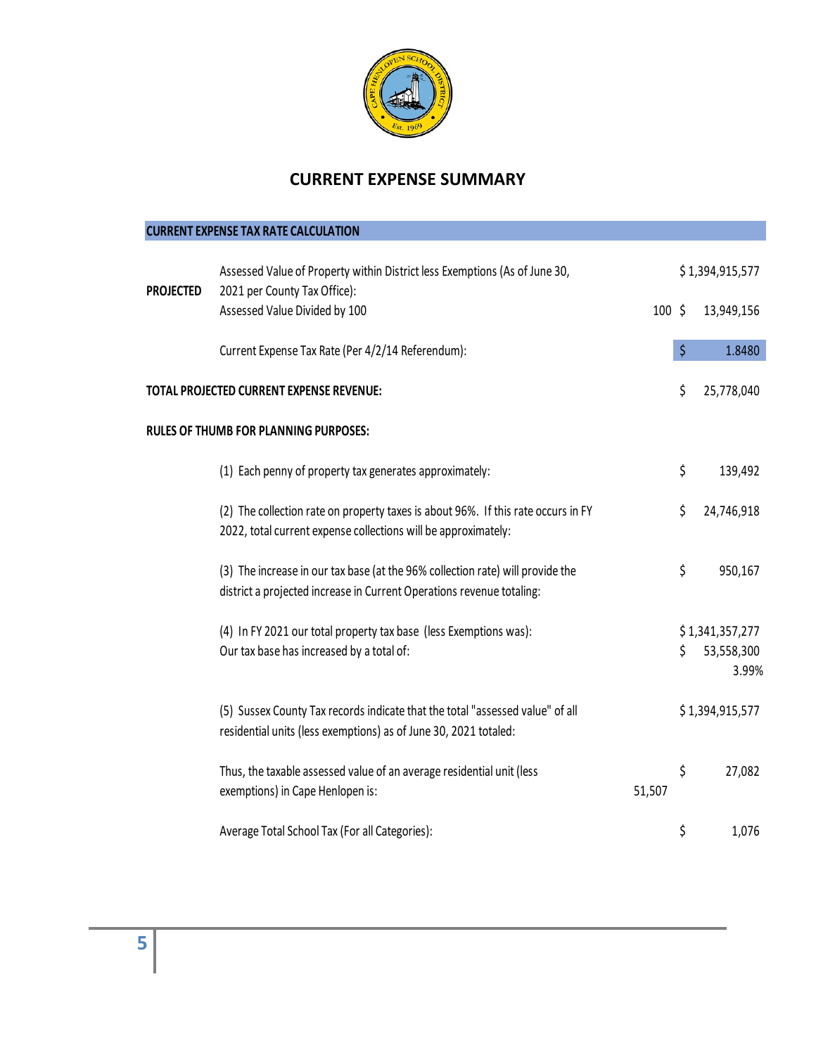

### **CURRENT EXPENSE SUMMARY**

|  |  |  | CURRENT EXPENSE TAX RATE CALCULATION |  |
|--|--|--|--------------------------------------|--|
|  |  |  |                                      |  |

| <b>PROJECTED</b> | Assessed Value of Property within District less Exemptions (As of June 30,<br>2021 per County Tax Office):                                              |                   |    | \$1,394,915,577                        |
|------------------|---------------------------------------------------------------------------------------------------------------------------------------------------------|-------------------|----|----------------------------------------|
|                  | Assessed Value Divided by 100                                                                                                                           | $100 \; \text{S}$ |    | 13,949,156                             |
|                  | Current Expense Tax Rate (Per 4/2/14 Referendum):                                                                                                       |                   | \$ | 1.8480                                 |
|                  | TOTAL PROJECTED CURRENT EXPENSE REVENUE:                                                                                                                |                   | \$ | 25,778,040                             |
|                  | <b>RULES OF THUMB FOR PLANNING PURPOSES:</b>                                                                                                            |                   |    |                                        |
|                  | (1) Each penny of property tax generates approximately:                                                                                                 |                   | \$ | 139,492                                |
|                  | (2) The collection rate on property taxes is about 96%. If this rate occurs in FY<br>2022, total current expense collections will be approximately:     |                   | \$ | 24,746,918                             |
|                  | (3) The increase in our tax base (at the 96% collection rate) will provide the<br>district a projected increase in Current Operations revenue totaling: |                   | \$ | 950,167                                |
|                  | (4) In FY 2021 our total property tax base (less Exemptions was):<br>Our tax base has increased by a total of:                                          |                   | S. | \$1,341,357,277<br>53,558,300<br>3.99% |
|                  | (5) Sussex County Tax records indicate that the total "assessed value" of all<br>residential units (less exemptions) as of June 30, 2021 totaled:       |                   |    | \$1,394,915,577                        |
|                  | Thus, the taxable assessed value of an average residential unit (less<br>exemptions) in Cape Henlopen is:                                               | 51,507            | \$ | 27,082                                 |
|                  | Average Total School Tax (For all Categories):                                                                                                          |                   | \$ | 1,076                                  |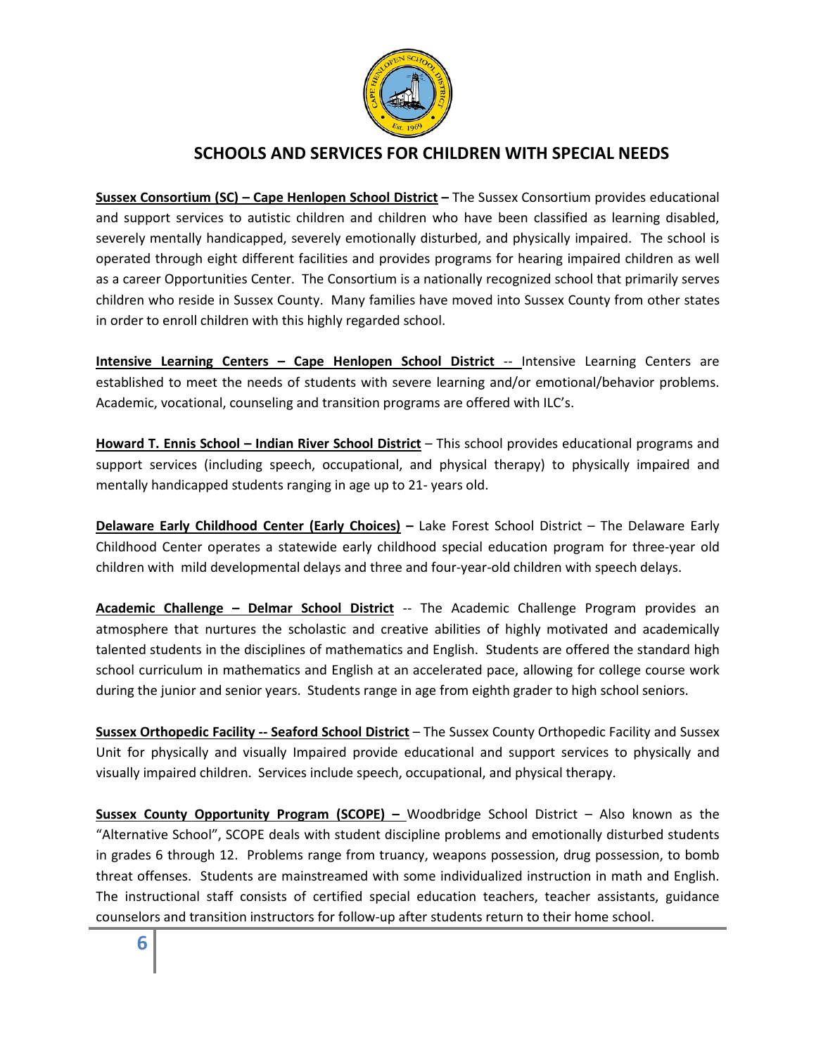

#### **SCHOOLS AND SERVICES FOR CHILDREN WITH SPECIAL NEEDS**

**Sussex Consortium (SC) – Cape Henlopen School District –** The Sussex Consortium provides educational and support services to autistic children and children who have been classified as learning disabled, severely mentally handicapped, severely emotionally disturbed, and physically impaired. The school is operated through eight different facilities and provides programs for hearing impaired children as well as a career Opportunities Center. The Consortium is a nationally recognized school that primarily serves children who reside in Sussex County. Many families have moved into Sussex County from other states in order to enroll children with this highly regarded school.

**Intensive Learning Centers – Cape Henlopen School District** -- Intensive Learning Centers are established to meet the needs of students with severe learning and/or emotional/behavior problems. Academic, vocational, counseling and transition programs are offered with ILC's.

**Howard T. Ennis School – Indian River School District** – This school provides educational programs and support services (including speech, occupational, and physical therapy) to physically impaired and mentally handicapped students ranging in age up to 21- years old.

**Delaware Early Childhood Center (Early Choices) –** Lake Forest School District – The Delaware Early Childhood Center operates a statewide early childhood special education program for three-year old children with mild developmental delays and three and four-year-old children with speech delays.

**Academic Challenge – Delmar School District** -- The Academic Challenge Program provides an atmosphere that nurtures the scholastic and creative abilities of highly motivated and academically talented students in the disciplines of mathematics and English. Students are offered the standard high school curriculum in mathematics and English at an accelerated pace, allowing for college course work during the junior and senior years. Students range in age from eighth grader to high school seniors.

**Sussex Orthopedic Facility -- Seaford School District** – The Sussex County Orthopedic Facility and Sussex Unit for physically and visually Impaired provide educational and support services to physically and visually impaired children. Services include speech, occupational, and physical therapy.

**Sussex County Opportunity Program (SCOPE) –** Woodbridge School District – Also known as the "Alternative School", SCOPE deals with student discipline problems and emotionally disturbed students in grades 6 through 12. Problems range from truancy, weapons possession, drug possession, to bomb threat offenses. Students are mainstreamed with some individualized instruction in math and English. The instructional staff consists of certified special education teachers, teacher assistants, guidance counselors and transition instructors for follow-up after students return to their home school.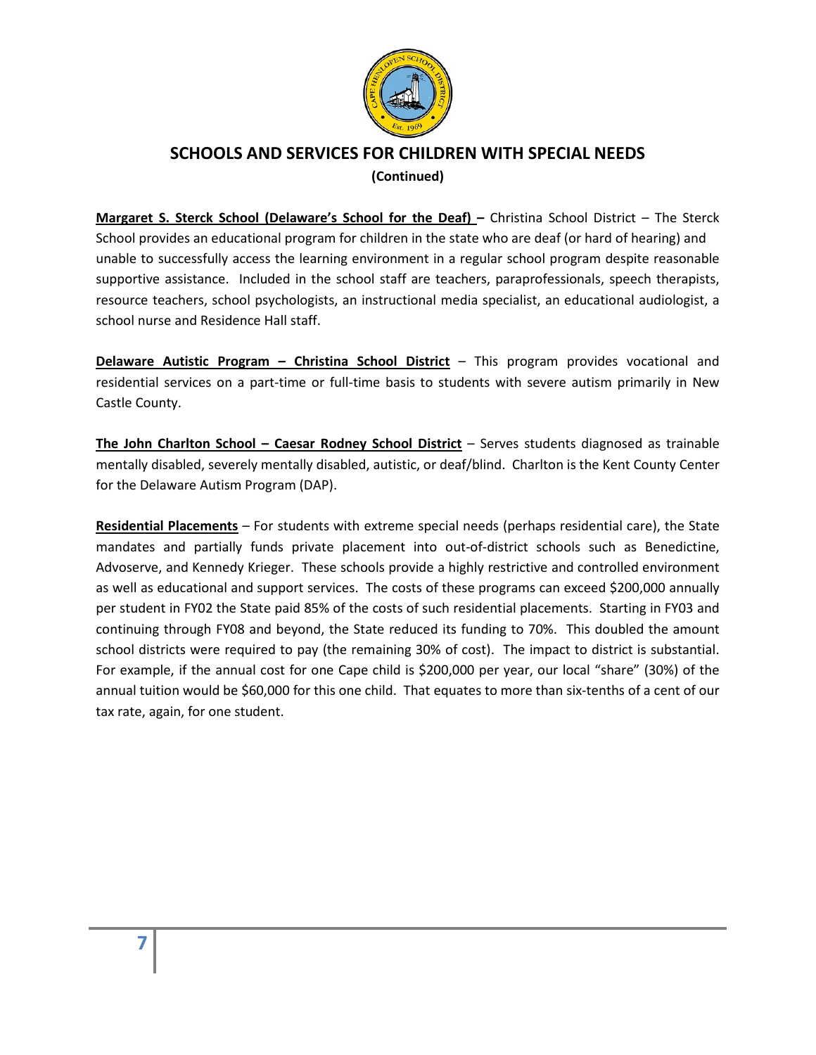

### **SCHOOLS AND SERVICES FOR CHILDREN WITH SPECIAL NEEDS (Continued)**

**Margaret S. Sterck School (Delaware's School for the Deaf) –** Christina School District – The Sterck School provides an educational program for children in the state who are deaf (or hard of hearing) and unable to successfully access the learning environment in a regular school program despite reasonable supportive assistance. Included in the school staff are teachers, paraprofessionals, speech therapists, resource teachers, school psychologists, an instructional media specialist, an educational audiologist, a school nurse and Residence Hall staff.

**Delaware Autistic Program – Christina School District** – This program provides vocational and residential services on a part-time or full-time basis to students with severe autism primarily in New Castle County.

**The John Charlton School – Caesar Rodney School District** – Serves students diagnosed as trainable mentally disabled, severely mentally disabled, autistic, or deaf/blind. Charlton is the Kent County Center for the Delaware Autism Program (DAP).

**Residential Placements** – For students with extreme special needs (perhaps residential care), the State mandates and partially funds private placement into out-of-district schools such as Benedictine, Advoserve, and Kennedy Krieger. These schools provide a highly restrictive and controlled environment as well as educational and support services. The costs of these programs can exceed \$200,000 annually per student in FY02 the State paid 85% of the costs of such residential placements. Starting in FY03 and continuing through FY08 and beyond, the State reduced its funding to 70%. This doubled the amount school districts were required to pay (the remaining 30% of cost). The impact to district is substantial. For example, if the annual cost for one Cape child is \$200,000 per year, our local "share" (30%) of the annual tuition would be \$60,000 for this one child. That equates to more than six-tenths of a cent of our tax rate, again, for one student.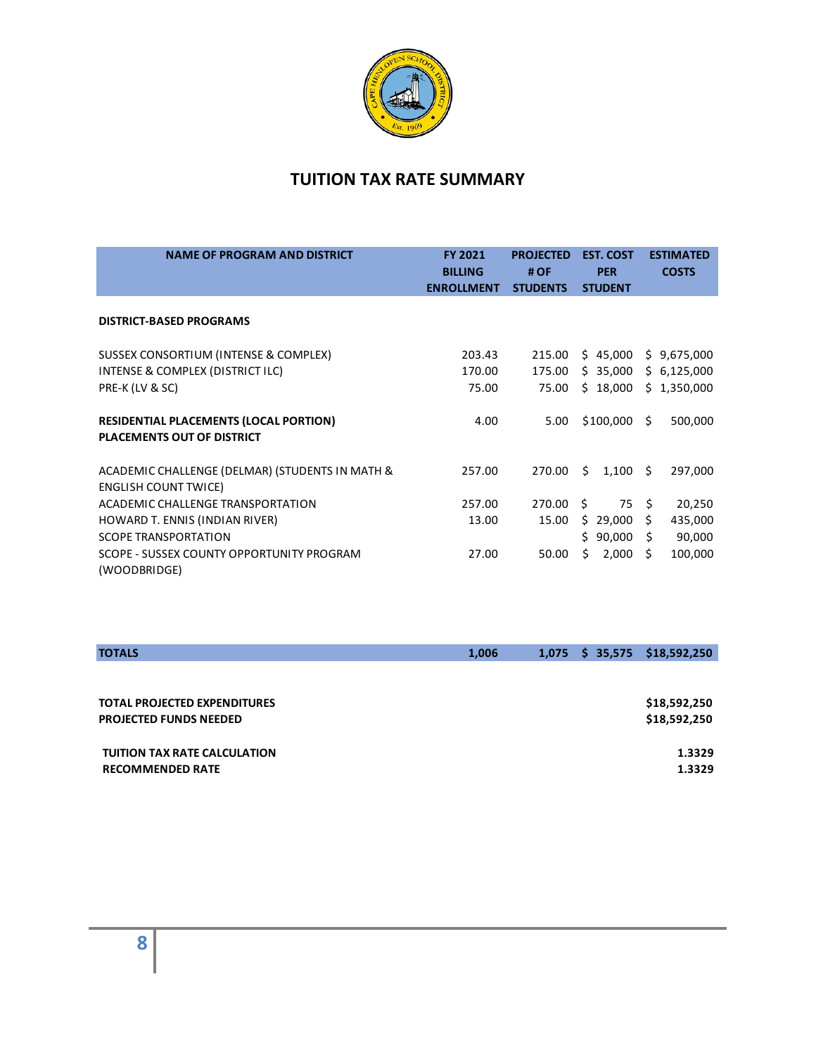

### **TUITION TAX RATE SUMMARY**

| <b>NAME OF PROGRAM AND DISTRICT</b>                                                          | <b>FY 2021</b><br><b>BILLING</b><br><b>ENROLLMENT</b> | <b>PROJECTED</b><br># OF<br><b>STUDENTS</b> | <b>EST. COST</b><br><b>PER</b><br><b>STUDENT</b> | <b>ESTIMATED</b><br><b>COSTS</b>          |
|----------------------------------------------------------------------------------------------|-------------------------------------------------------|---------------------------------------------|--------------------------------------------------|-------------------------------------------|
| <b>DISTRICT-BASED PROGRAMS</b>                                                               |                                                       |                                             |                                                  |                                           |
| SUSSEX CONSORTIUM (INTENSE & COMPLEX)<br>INTENSE & COMPLEX (DISTRICT ILC)<br>PRE-K (LV & SC) | 203.43<br>170.00<br>75.00                             | 215.00<br>175.00<br>75.00                   | \$45,000<br>\$35,000<br>\$18,000                 | \$9,675,000<br>\$6,125,000<br>\$1,350,000 |
| <b>RESIDENTIAL PLACEMENTS (LOCAL PORTION)</b><br><b>PLACEMENTS OUT OF DISTRICT</b>           | 4.00                                                  | 5.00                                        | \$100,000                                        | Ŝ.<br>500,000                             |
| ACADEMIC CHALLENGE (DELMAR) (STUDENTS IN MATH &<br><b>ENGLISH COUNT TWICE)</b>               | 257.00                                                | 270.00                                      | Ŝ.<br>$1,100 \pm 5$                              | 297,000                                   |
| ACADEMIC CHALLENGE TRANSPORTATION                                                            | 257.00                                                | 270.00                                      | S.<br>75                                         | 20,250<br>S.                              |
| HOWARD T. ENNIS (INDIAN RIVER)                                                               | 13.00                                                 | 15.00                                       | \$29,000                                         | S.<br>435,000                             |
| <b>SCOPE TRANSPORTATION</b>                                                                  |                                                       |                                             | 90,000<br>Ŝ.                                     | 90,000<br>\$                              |
| SCOPE - SUSSEX COUNTY OPPORTUNITY PROGRAM<br>(WOODBRIDGE)                                    | 27.00                                                 | 50.00                                       | Ś.<br>2,000                                      | 100,000<br>Ŝ.                             |

| <b>TOTALS</b>                       | 1,006 | \$35,575<br>1.075 | \$18,592,250 |
|-------------------------------------|-------|-------------------|--------------|
|                                     |       |                   |              |
|                                     |       |                   |              |
| <b>TOTAL PROJECTED EXPENDITURES</b> |       |                   | \$18,592,250 |
| <b>PROJECTED FUNDS NEEDED</b>       |       |                   | \$18,592,250 |
|                                     |       |                   |              |
| <b>TUITION TAX RATE CALCULATION</b> |       |                   | 1.3329       |
| <b>RECOMMENDED RATE</b>             |       |                   | 1.3329       |
|                                     |       |                   |              |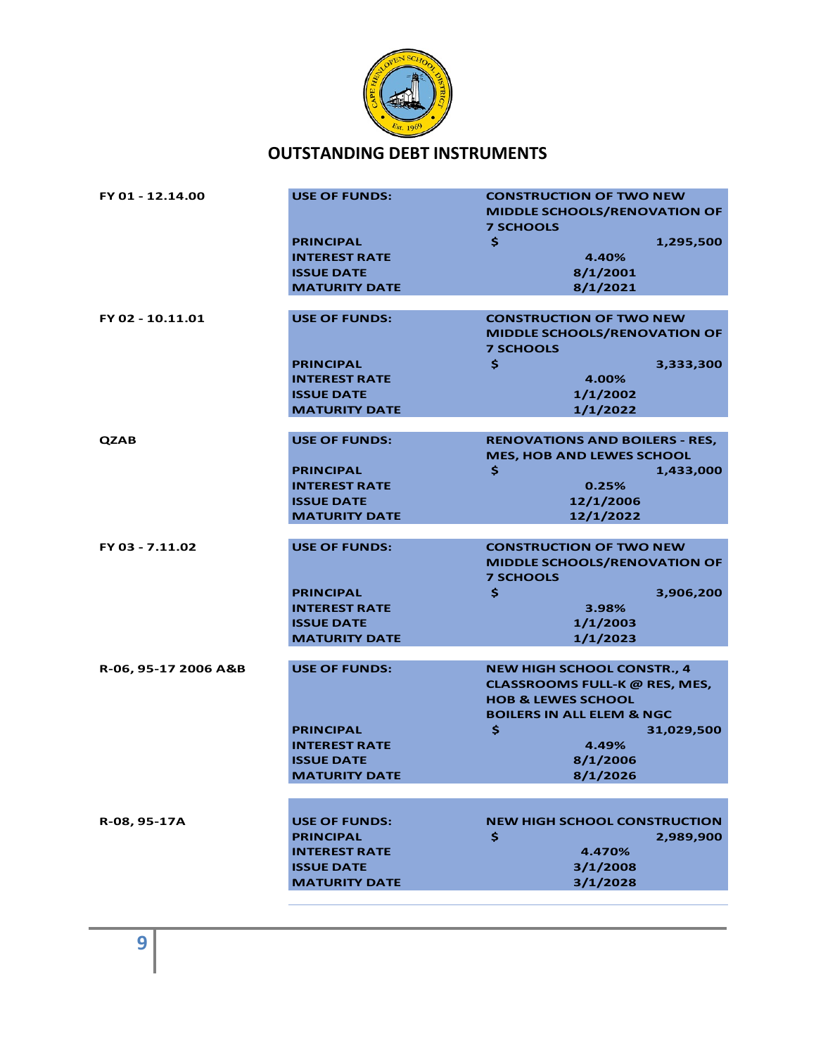

#### **OUTSTANDING DEBT INSTRUMENTS**

| FY 01 - 12.14.00     | <b>USE OF FUNDS:</b> | <b>CONSTRUCTION OF TWO NEW</b><br><b>MIDDLE SCHOOLS/RENOVATION OF</b><br><b>7 SCHOOLS</b> |
|----------------------|----------------------|-------------------------------------------------------------------------------------------|
|                      | <b>PRINCIPAL</b>     | \$<br>1,295,500                                                                           |
|                      | <b>INTEREST RATE</b> | 4.40%                                                                                     |
|                      | <b>ISSUE DATE</b>    | 8/1/2001                                                                                  |
|                      | <b>MATURITY DATE</b> | 8/1/2021                                                                                  |
|                      |                      |                                                                                           |
| FY 02 - 10.11.01     | <b>USE OF FUNDS:</b> | <b>CONSTRUCTION OF TWO NEW</b>                                                            |
|                      |                      | <b>MIDDLE SCHOOLS/RENOVATION OF</b>                                                       |
|                      |                      | <b>7 SCHOOLS</b>                                                                          |
|                      | <b>PRINCIPAL</b>     | \$<br>3,333,300                                                                           |
|                      | <b>INTEREST RATE</b> | 4.00%                                                                                     |
|                      | <b>ISSUE DATE</b>    | 1/1/2002                                                                                  |
|                      | <b>MATURITY DATE</b> | 1/1/2022                                                                                  |
|                      |                      |                                                                                           |
| <b>QZAB</b>          | <b>USE OF FUNDS:</b> | <b>RENOVATIONS AND BOILERS - RES,</b>                                                     |
|                      |                      | <b>MES, HOB AND LEWES SCHOOL</b>                                                          |
|                      | <b>PRINCIPAL</b>     | \$<br>1,433,000                                                                           |
|                      | <b>INTEREST RATE</b> | 0.25%                                                                                     |
|                      | <b>ISSUE DATE</b>    | 12/1/2006                                                                                 |
|                      | <b>MATURITY DATE</b> | 12/1/2022                                                                                 |
|                      |                      |                                                                                           |
| FY 03 - 7.11.02      | <b>USE OF FUNDS:</b> | <b>CONSTRUCTION OF TWO NEW</b>                                                            |
|                      |                      | <b>MIDDLE SCHOOLS/RENOVATION OF</b>                                                       |
|                      |                      | <b>7 SCHOOLS</b>                                                                          |
|                      | <b>PRINCIPAL</b>     | \$<br>3,906,200                                                                           |
|                      | <b>INTEREST RATE</b> | 3.98%                                                                                     |
|                      | <b>ISSUE DATE</b>    | 1/1/2003                                                                                  |
|                      | <b>MATURITY DATE</b> | 1/1/2023                                                                                  |
|                      |                      |                                                                                           |
| R-06, 95-17 2006 A&B | <b>USE OF FUNDS:</b> | <b>NEW HIGH SCHOOL CONSTR., 4</b>                                                         |
|                      |                      | <b>CLASSROOMS FULL-K @ RES, MES,</b>                                                      |
|                      |                      | <b>HOB &amp; LEWES SCHOOL</b>                                                             |
|                      |                      | <b>BOILERS IN ALL ELEM &amp; NGC</b>                                                      |
|                      | <b>PRINCIPAL</b>     | \$<br>31,029,500                                                                          |
|                      | <b>INTEREST RATE</b> | 4.49%                                                                                     |
|                      | <b>ISSUE DATE</b>    | 8/1/2006                                                                                  |
|                      | <b>MATURITY DATE</b> | 8/1/2026                                                                                  |
|                      |                      |                                                                                           |
|                      |                      |                                                                                           |
| R-08, 95-17A         | <b>USE OF FUNDS:</b> | <b>NEW HIGH SCHOOL CONSTRUCTION</b>                                                       |
|                      | <b>PRINCIPAL</b>     | Ś<br>2,989,900                                                                            |
|                      | <b>INTEREST RATE</b> | 4.470%                                                                                    |
|                      | <b>ISSUE DATE</b>    | 3/1/2008                                                                                  |
|                      | <b>MATURITY DATE</b> | 3/1/2028                                                                                  |
|                      |                      |                                                                                           |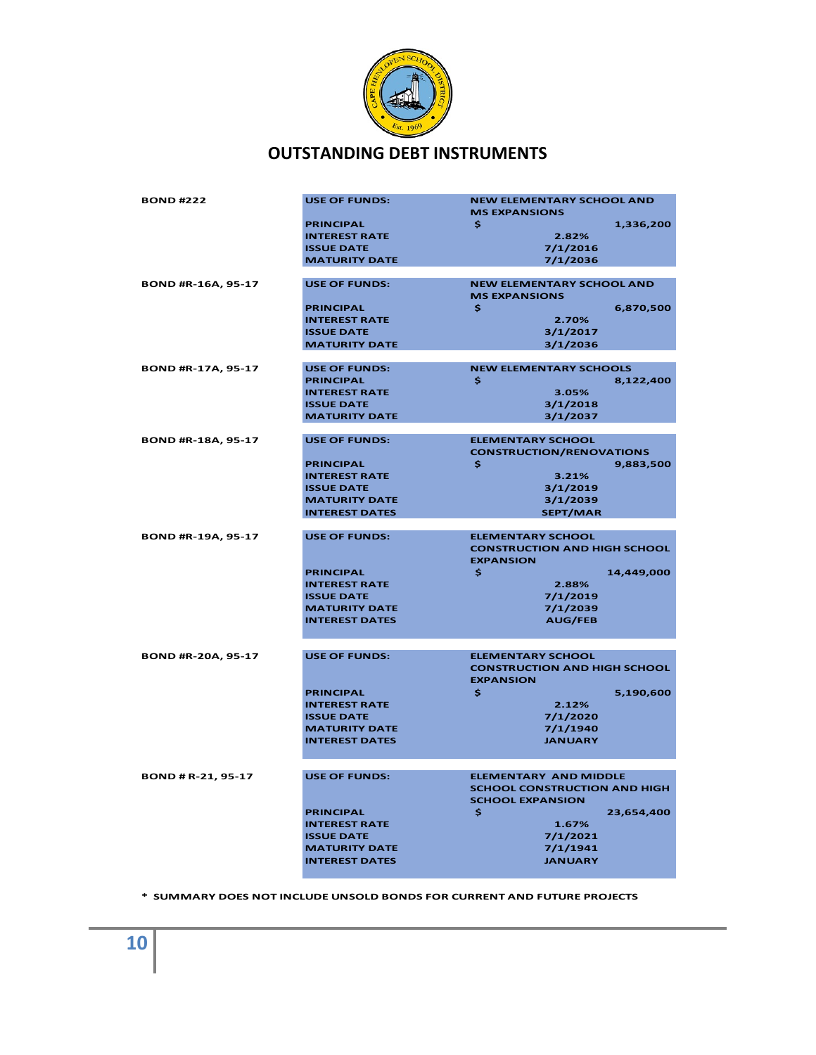

| <b>BOND#222</b>    | <b>USE OF FUNDS:</b>                      | <b>NEW ELEMENTARY SCHOOL AND</b><br><b>MS EXPANSIONS</b> |
|--------------------|-------------------------------------------|----------------------------------------------------------|
|                    | <b>PRINCIPAL</b>                          | \$<br>1,336,200                                          |
|                    | <b>INTEREST RATE</b>                      | 2.82%                                                    |
|                    | <b>ISSUE DATE</b>                         | 7/1/2016                                                 |
|                    | <b>MATURITY DATE</b>                      | 7/1/2036                                                 |
| BOND #R-16A, 95-17 | <b>USE OF FUNDS:</b>                      | <b>NEW ELEMENTARY SCHOOL AND</b>                         |
|                    |                                           | <b>MS EXPANSIONS</b>                                     |
|                    | <b>PRINCIPAL</b>                          | \$<br>6,870,500                                          |
|                    | <b>INTEREST RATE</b>                      | 2.70%                                                    |
|                    | <b>ISSUE DATE</b><br><b>MATURITY DATE</b> | 3/1/2017                                                 |
|                    |                                           | 3/1/2036                                                 |
| BOND #R-17A, 95-17 | <b>USE OF FUNDS:</b>                      | <b>NEW ELEMENTARY SCHOOLS</b>                            |
|                    | <b>PRINCIPAL</b>                          | \$<br>8,122,400                                          |
|                    | <b>INTEREST RATE</b>                      | 3.05%                                                    |
|                    | <b>ISSUE DATE</b>                         | 3/1/2018                                                 |
|                    | <b>MATURITY DATE</b>                      | 3/1/2037                                                 |
| BOND #R-18A, 95-17 | <b>USE OF FUNDS:</b>                      | <b>ELEMENTARY SCHOOL</b>                                 |
|                    |                                           | <b>CONSTRUCTION/RENOVATIONS</b>                          |
|                    | <b>PRINCIPAL</b>                          | \$<br>9,883,500                                          |
|                    | <b>INTEREST RATE</b>                      | 3.21%                                                    |
|                    | <b>ISSUE DATE</b>                         | 3/1/2019                                                 |
|                    | <b>MATURITY DATE</b>                      | 3/1/2039                                                 |
|                    | <b>INTEREST DATES</b>                     | <b>SEPT/MAR</b>                                          |
|                    |                                           |                                                          |
| BOND #R-19A, 95-17 | <b>USE OF FUNDS:</b>                      | <b>ELEMENTARY SCHOOL</b>                                 |
|                    |                                           | <b>CONSTRUCTION AND HIGH SCHOOL</b><br><b>EXPANSION</b>  |
|                    | <b>PRINCIPAL</b>                          | \$.<br>14,449,000                                        |
|                    | <b>INTEREST RATE</b>                      | 2.88%                                                    |
|                    | <b>ISSUE DATE</b>                         | 7/1/2019                                                 |
|                    | <b>MATURITY DATE</b>                      | 7/1/2039                                                 |
|                    | <b>INTEREST DATES</b>                     | <b>AUG/FEB</b>                                           |
|                    |                                           |                                                          |
| BOND #R-20A, 95-17 | <b>USE OF FUNDS:</b>                      | <b>ELEMENTARY SCHOOL</b>                                 |
|                    |                                           | <b>CONSTRUCTION AND HIGH SCHOOL</b><br><b>EXPANSION</b>  |
|                    | <b>PRINCIPAL</b>                          | \$<br>5,190,600                                          |
|                    | <b>INTEREST RATE</b>                      | 2.12%                                                    |
|                    | <b>ISSUE DATE</b>                         | 7/1/2020                                                 |
|                    | <b>MATURITY DATE</b>                      | 7/1/1940                                                 |
|                    | <b>INTEREST DATES</b>                     | <b>JANUARY</b>                                           |
|                    |                                           |                                                          |
| BOND # R-21, 95-17 | <b>USE OF FUNDS:</b>                      | <b>ELEMENTARY AND MIDDLE</b>                             |
|                    |                                           | <b>SCHOOL CONSTRUCTION AND HIGH</b>                      |
|                    |                                           | <b>SCHOOL EXPANSION</b>                                  |
|                    | <b>PRINCIPAL</b>                          | \$<br>23,654,400                                         |
|                    | <b>INTEREST RATE</b>                      | 1.67%                                                    |
|                    | <b>ISSUE DATE</b>                         | 7/1/2021                                                 |
|                    | <b>MATURITY DATE</b>                      | 7/1/1941                                                 |
|                    | <b>INTEREST DATES</b>                     | <b>JANUARY</b>                                           |

**\* SUMMARY DOES NOT INCLUDE UNSOLD BONDS FOR CURRENT AND FUTURE PROJECTS**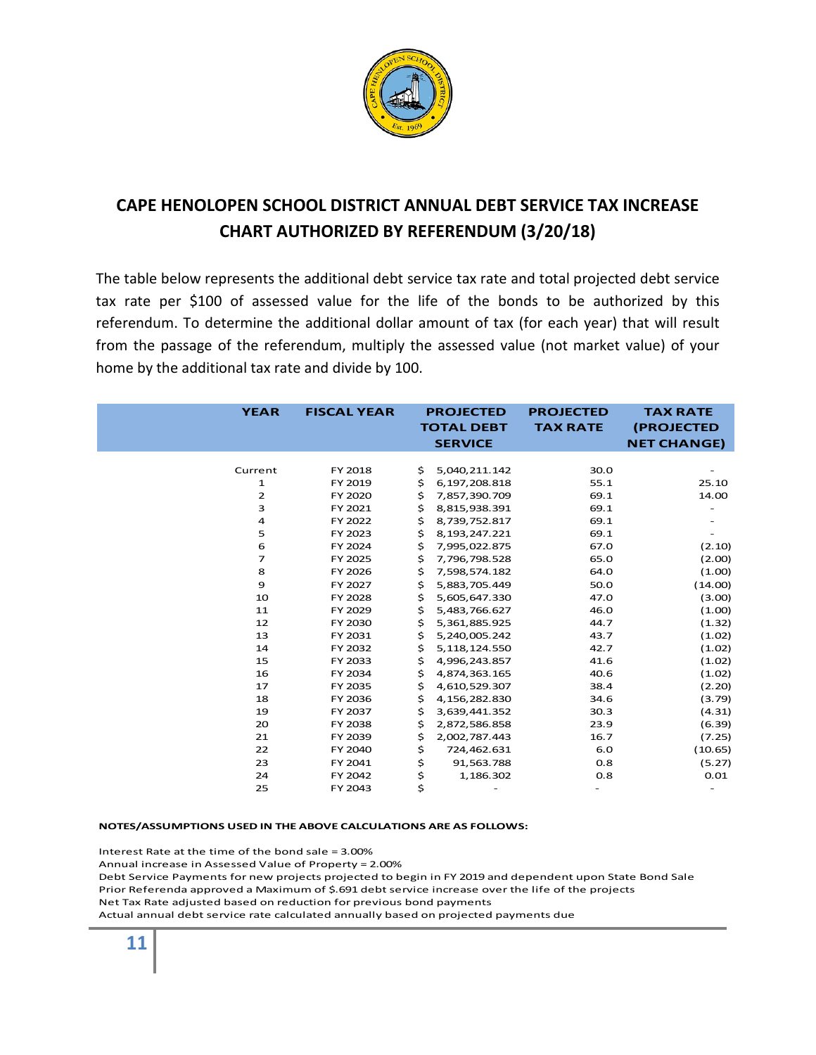

# **CAPE HENOLOPEN SCHOOL DISTRICT ANNUAL DEBT SERVICE TAX INCREASE CHART AUTHORIZED BY REFERENDUM (3/20/18)**

The table below represents the additional debt service tax rate and total projected debt service tax rate per \$100 of assessed value for the life of the bonds to be authorized by this referendum. To determine the additional dollar amount of tax (for each year) that will result from the passage of the referendum, multiply the assessed value (not market value) of your home by the additional tax rate and divide by 100.

| <b>YEAR</b>    | <b>FISCAL YEAR</b> | <b>PROJECTED</b>    | <b>PROJECTED</b> | <b>TAX RATE</b>    |
|----------------|--------------------|---------------------|------------------|--------------------|
|                |                    | <b>TOTAL DEBT</b>   | <b>TAX RATE</b>  | (PROJECTED         |
|                |                    | <b>SERVICE</b>      |                  | <b>NET CHANGE)</b> |
|                |                    |                     |                  |                    |
| Current        | FY 2018            | \$<br>5,040,211.142 | 30.0             |                    |
| 1              | FY 2019            | \$<br>6,197,208.818 | 55.1             | 25.10              |
| $\overline{2}$ | FY 2020            | \$<br>7,857,390.709 | 69.1             | 14.00              |
| з              | FY 2021            | \$<br>8,815,938.391 | 69.1             |                    |
| 4              | FY 2022            | \$<br>8,739,752.817 | 69.1             |                    |
| 5              | FY 2023            | \$<br>8,193,247.221 | 69.1             |                    |
| 6              | FY 2024            | \$<br>7,995,022.875 | 67.0             | (2.10)             |
| 7              | FY 2025            | \$<br>7,796,798.528 | 65.0             | (2.00)             |
| 8              | FY 2026            | \$<br>7,598,574.182 | 64.0             | (1.00)             |
| 9              | FY 2027            | \$<br>5,883,705.449 | 50.0             | (14.00)            |
| 10             | FY 2028            | \$<br>5,605,647.330 | 47.0             | (3.00)             |
| 11             | FY 2029            | \$<br>5,483,766.627 | 46.0             | (1.00)             |
| 12             | FY 2030            | \$<br>5,361,885.925 | 44.7             | (1.32)             |
| 13             | FY 2031            | \$<br>5,240,005.242 | 43.7             | (1.02)             |
| 14             | FY 2032            | \$<br>5,118,124.550 | 42.7             | (1.02)             |
| 15             | FY 2033            | \$<br>4,996,243.857 | 41.6             | (1.02)             |
| 16             | FY 2034            | \$<br>4,874,363.165 | 40.6             | (1.02)             |
| 17             | FY 2035            | \$<br>4,610,529.307 | 38.4             | (2.20)             |
| 18             | FY 2036            | \$<br>4,156,282.830 | 34.6             | (3.79)             |
| 19             | FY 2037            | \$<br>3,639,441.352 | 30.3             | (4.31)             |
| 20             | FY 2038            | \$<br>2,872,586.858 | 23.9             | (6.39)             |
| 21             | FY 2039            | \$<br>2,002,787.443 | 16.7             | (7.25)             |
| 22             | FY 2040            | \$<br>724,462.631   | 6.0              | (10.65)            |
| 23             | FY 2041            | \$<br>91,563.788    | 0.8              | (5.27)             |
| 24             | FY 2042            | \$<br>1,186.302     | 0.8              | 0.01               |
| 25             | FY 2043            | \$                  |                  |                    |

**NOTES/ASSUMPTIONS USED IN THE ABOVE CALCULATIONS ARE AS FOLLOWS:**

Interest Rate at the time of the bond sale = 3.00%

Annual increase in Assessed Value of Property = 2.00%

Debt Service Payments for new projects projected to begin in FY 2019 and dependent upon State Bond Sale Prior Referenda approved a Maximum of \$.691 debt service increase over the life of the projects

Net Tax Rate adjusted based on reduction for previous bond payments

Actual annual debt service rate calculated annually based on projected payments due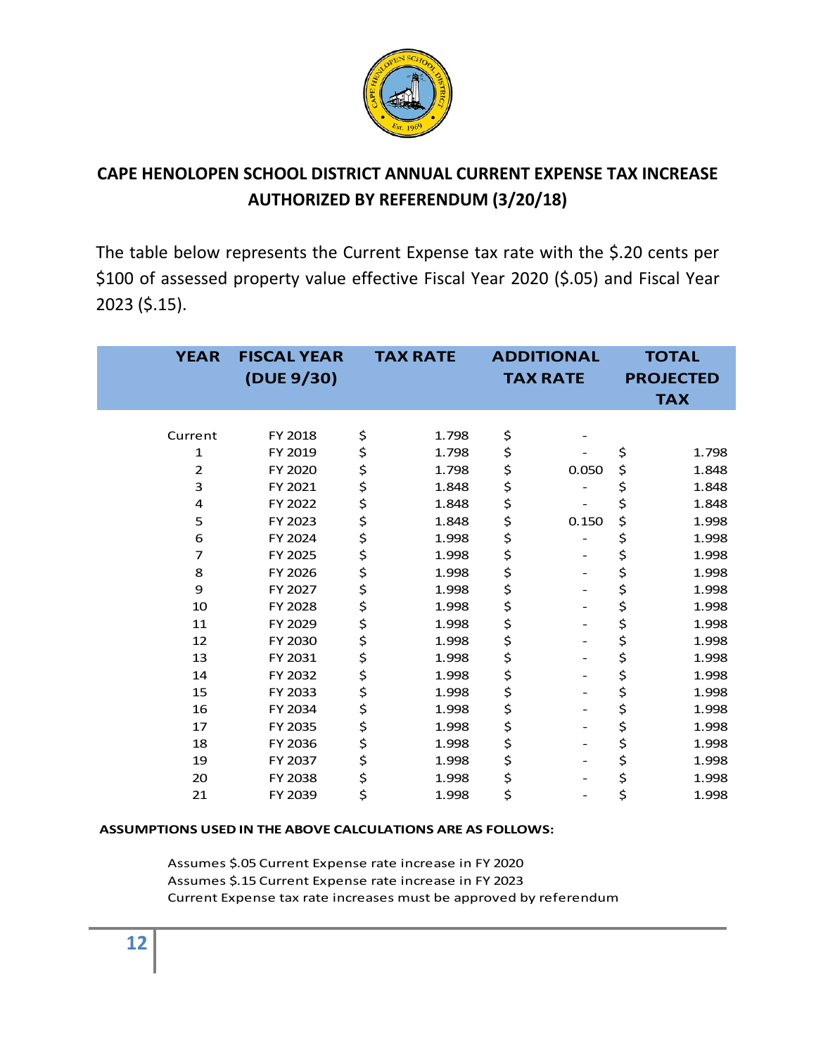

# **CAPE HENOLOPEN SCHOOL DISTRICT ANNUAL CURRENT EXPENSE TAX INCREASE AUTHORIZED BY REFERENDUM (3/20/18)**

The table below represents the Current Expense tax rate with the \$.20 cents per \$100 of assessed property value effective Fiscal Year 2020 (\$.05) and Fiscal Year 2023 (\$.15).

| <b>YEAR</b>    | <b>FISCAL YEAR</b><br>(DUE 9/30) | <b>TAX RATE</b> |       | <b>ADDITIONAL</b><br><b>TAX RATE</b> | <b>TOTAL</b><br><b>PROJECTED</b><br><b>TAX</b> |
|----------------|----------------------------------|-----------------|-------|--------------------------------------|------------------------------------------------|
|                |                                  |                 |       |                                      |                                                |
| Current        | FY 2018                          | \$              | 1.798 | \$                                   |                                                |
| 1              | FY 2019                          | \$              | 1.798 | \$                                   | \$<br>1.798                                    |
| $\overline{2}$ | FY 2020                          | \$              | 1.798 | \$<br>0.050                          | \$<br>1.848                                    |
| 3              | FY 2021                          | \$              | 1.848 | \$                                   | \$<br>1.848                                    |
| 4              | FY 2022                          | \$              | 1.848 | \$                                   | \$<br>1.848                                    |
| 5              | FY 2023                          | \$              | 1.848 | \$<br>0.150                          | \$<br>1.998                                    |
| 6              | FY 2024                          | \$              | 1.998 | \$                                   | \$<br>1.998                                    |
| $\overline{7}$ | FY 2025                          | \$              | 1.998 | \$<br>$\overline{\phantom{a}}$       | \$<br>1.998                                    |
| 8              | FY 2026                          | \$              | 1.998 | \$                                   | \$<br>1.998                                    |
| 9              | FY 2027                          | \$              | 1.998 | \$                                   | \$<br>1.998                                    |
| 10             | FY 2028                          | \$              | 1.998 | \$                                   | \$<br>1.998                                    |
| 11             | FY 2029                          | \$              | 1.998 | \$                                   | \$<br>1.998                                    |
| 12             | FY 2030                          | \$              | 1.998 | \$                                   | \$<br>1.998                                    |
| 13             | FY 2031                          | \$              | 1.998 | \$                                   | \$<br>1.998                                    |
| 14             | FY 2032                          | \$              | 1.998 | \$                                   | \$<br>1.998                                    |
| 15             | FY 2033                          | \$              | 1.998 | \$<br>$\qquad \qquad -$              | \$<br>1.998                                    |
| 16             | FY 2034                          | \$              | 1.998 | \$<br>-                              | \$<br>1.998                                    |
| 17             | FY 2035                          | \$              | 1.998 | \$                                   | \$<br>1.998                                    |
| 18             | FY 2036                          | \$              | 1.998 | \$                                   | \$<br>1.998                                    |
| 19             | FY 2037                          | \$              | 1.998 | \$                                   | \$<br>1.998                                    |
| 20             | FY 2038                          | \$              | 1.998 | \$                                   | \$<br>1.998                                    |
| 21             | FY 2039                          | \$              | 1.998 | \$                                   | \$<br>1.998                                    |
|                |                                  |                 |       |                                      |                                                |

#### **ASSUMPTIONS USED IN THE ABOVE CALCULATIONS ARE AS FOLLOWS:**

Assumes \$.05 Current Expense rate increase in FY 2020 Assumes \$.15 Current Expense rate increase in FY 2023 Current Expense tax rate increases must be approved by referendum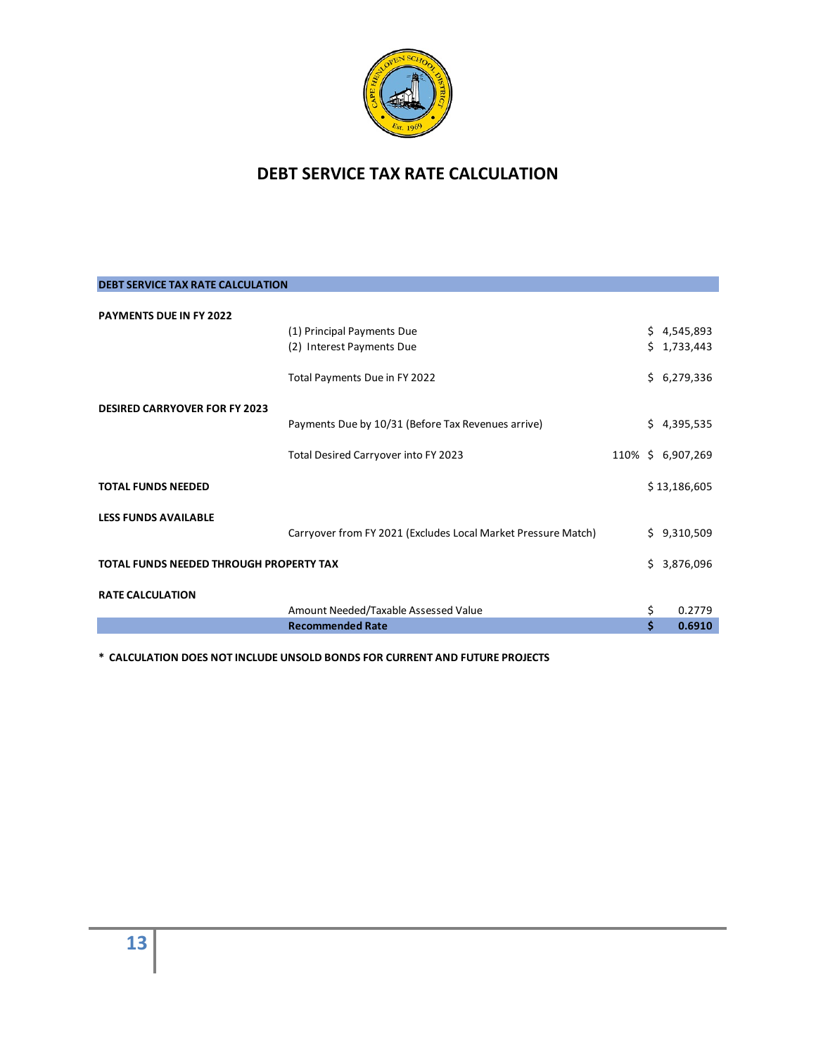

# **DEBT SERVICE TAX RATE CALCULATION**

| <b>DEBI SERVICE TAX RATE CALCOLATION</b> |                                                               |    |                   |
|------------------------------------------|---------------------------------------------------------------|----|-------------------|
| <b>PAYMENTS DUE IN FY 2022</b>           |                                                               |    |                   |
|                                          | (1) Principal Payments Due                                    |    | \$4,545,893       |
|                                          | (2) Interest Payments Due                                     |    | \$1,733,443       |
|                                          | Total Payments Due in FY 2022                                 |    | \$6,279,336       |
| <b>DESIRED CARRYOVER FOR FY 2023</b>     |                                                               |    |                   |
|                                          | Payments Due by 10/31 (Before Tax Revenues arrive)            |    | \$4,395,535       |
|                                          | Total Desired Carryover into FY 2023                          |    | 110% \$ 6,907,269 |
| <b>TOTAL FUNDS NEEDED</b>                |                                                               |    | \$13,186,605      |
| <b>LESS FUNDS AVAILABLE</b>              |                                                               |    |                   |
|                                          | Carryover from FY 2021 (Excludes Local Market Pressure Match) |    | \$9,310,509       |
| TOTAL FUNDS NEEDED THROUGH PROPERTY TAX  |                                                               |    | \$3,876,096       |
| <b>RATE CALCULATION</b>                  |                                                               |    |                   |
|                                          | Amount Needed/Taxable Assessed Value                          | \$ | 0.2779            |
|                                          | <b>Recommended Rate</b>                                       | \$ | 0.6910            |

**\* CALCULATION DOES NOT INCLUDE UNSOLD BONDS FOR CURRENT AND FUTURE PROJECTS**

**DEBT SERVICE TAX RATE CALCULATION**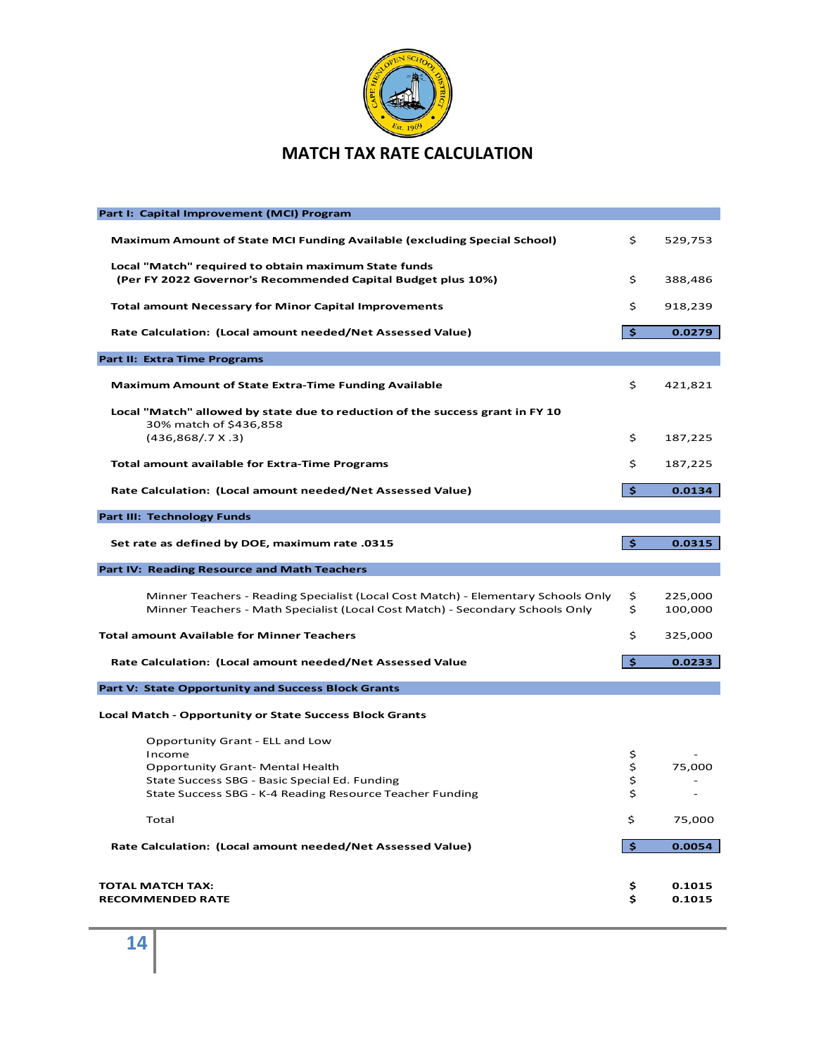

| Part I: Capital Improvement (MCI) Program                                                                                                                          |               |                    |
|--------------------------------------------------------------------------------------------------------------------------------------------------------------------|---------------|--------------------|
| Maximum Amount of State MCI Funding Available (excluding Special School)                                                                                           | \$.           | 529,753            |
| Local "Match" required to obtain maximum State funds<br>(Per FY 2022 Governor's Recommended Capital Budget plus 10%)                                               | \$            | 388,486            |
| <b>Total amount Necessary for Minor Capital Improvements</b>                                                                                                       | \$            | 918,239            |
| Rate Calculation: (Local amount needed/Net Assessed Value)                                                                                                         | \$            | 0.0279             |
| Part II: Extra Time Programs                                                                                                                                       |               |                    |
| <b>Maximum Amount of State Extra-Time Funding Available</b>                                                                                                        | \$            | 421,821            |
| Local "Match" allowed by state due to reduction of the success grant in FY 10                                                                                      |               |                    |
| 30% match of \$436,858<br>$(436,868/.7 \times .3)$                                                                                                                 | \$            | 187,225            |
| <b>Total amount available for Extra-Time Programs</b>                                                                                                              | \$            | 187,225            |
| Rate Calculation: (Local amount needed/Net Assessed Value)                                                                                                         | \$            | 0.0134             |
| <b>Part III: Technology Funds</b>                                                                                                                                  |               |                    |
| Set rate as defined by DOE, maximum rate .0315                                                                                                                     | \$.           | 0.0315             |
| Part IV: Reading Resource and Math Teachers                                                                                                                        |               |                    |
| Minner Teachers - Reading Specialist (Local Cost Match) - Elementary Schools Only<br>Minner Teachers - Math Specialist (Local Cost Match) - Secondary Schools Only | \$<br>\$      | 225,000<br>100,000 |
| <b>Total amount Available for Minner Teachers</b>                                                                                                                  | \$            | 325,000            |
| Rate Calculation: (Local amount needed/Net Assessed Value                                                                                                          | \$.           | 0.0233             |
| Part V: State Opportunity and Success Block Grants                                                                                                                 |               |                    |
| <b>Local Match - Opportunity or State Success Block Grants</b>                                                                                                     |               |                    |
| Opportunity Grant - ELL and Low<br>Income                                                                                                                          |               |                    |
| <b>Opportunity Grant- Mental Health</b>                                                                                                                            | \$<br>\$      | 75,000             |
| State Success SBG - Basic Special Ed. Funding<br>State Success SBG - K-4 Reading Resource Teacher Funding                                                          | \$<br>\$      |                    |
|                                                                                                                                                                    |               |                    |
| Total                                                                                                                                                              | \$            | 75,000             |
| Rate Calculation: (Local amount needed/Net Assessed Value)                                                                                                         | $\frac{1}{2}$ | 0.0054             |
|                                                                                                                                                                    |               |                    |
| <b>TOTAL MATCH TAX:</b>                                                                                                                                            | Ş             | 0.1015             |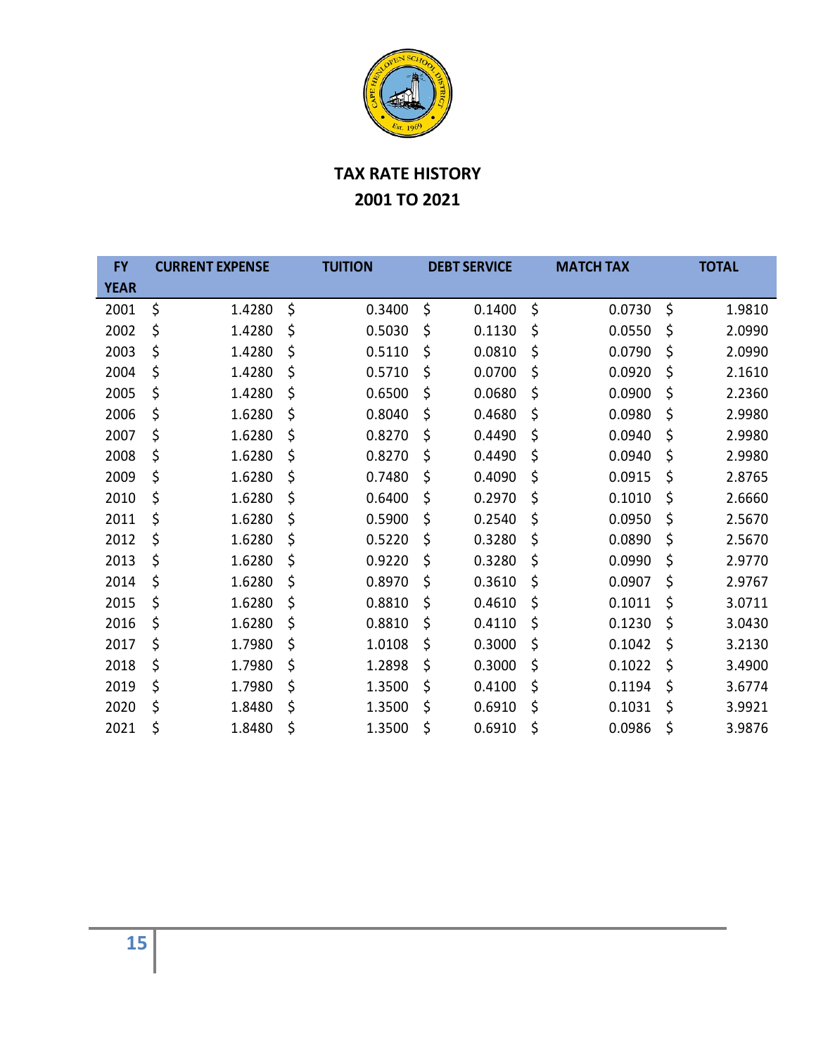

# **TAX RATE HISTORY TO 2021**

| <b>FY</b><br><b>YEAR</b> | <b>CURRENT EXPENSE</b> |        | <b>TUITION</b> | <b>DEBT SERVICE</b> |    | <b>MATCH TAX</b> |    | <b>TOTAL</b> |    |        |
|--------------------------|------------------------|--------|----------------|---------------------|----|------------------|----|--------------|----|--------|
| 2001                     | \$                     | 1.4280 | \$             | 0.3400              | \$ | 0.1400           | \$ | 0.0730       | \$ | 1.9810 |
| 2002                     | \$                     | 1.4280 | \$             | 0.5030              | \$ | 0.1130           | \$ | 0.0550       | \$ | 2.0990 |
| 2003                     | \$                     | 1.4280 | \$             | 0.5110              | \$ | 0.0810           | \$ | 0.0790       | \$ | 2.0990 |
| 2004                     | \$                     | 1.4280 | \$             | 0.5710              | \$ | 0.0700           | \$ | 0.0920       | \$ | 2.1610 |
| 2005                     | \$                     | 1.4280 | \$             | 0.6500              | \$ | 0.0680           | \$ | 0.0900       | \$ | 2.2360 |
| 2006                     | \$                     | 1.6280 | \$             | 0.8040              | \$ | 0.4680           | \$ | 0.0980       | \$ | 2.9980 |
| 2007                     | \$                     | 1.6280 | \$             | 0.8270              | \$ | 0.4490           | \$ | 0.0940       | \$ | 2.9980 |
| 2008                     | \$                     | 1.6280 | \$             | 0.8270              | \$ | 0.4490           | \$ | 0.0940       | \$ | 2.9980 |
| 2009                     | \$                     | 1.6280 | \$             | 0.7480              | \$ | 0.4090           | \$ | 0.0915       | \$ | 2.8765 |
| 2010                     | \$                     | 1.6280 | \$             | 0.6400              | \$ | 0.2970           | \$ | 0.1010       | \$ | 2.6660 |
| 2011                     | \$                     | 1.6280 | \$             | 0.5900              | \$ | 0.2540           | \$ | 0.0950       | \$ | 2.5670 |
| 2012                     | \$                     | 1.6280 | \$             | 0.5220              | \$ | 0.3280           | \$ | 0.0890       | \$ | 2.5670 |
| 2013                     | \$                     | 1.6280 | \$             | 0.9220              | \$ | 0.3280           | \$ | 0.0990       | \$ | 2.9770 |
| 2014                     | \$                     | 1.6280 | \$             | 0.8970              | \$ | 0.3610           | \$ | 0.0907       | \$ | 2.9767 |
| 2015                     | \$                     | 1.6280 | \$             | 0.8810              | \$ | 0.4610           | \$ | 0.1011       | \$ | 3.0711 |
| 2016                     | \$                     | 1.6280 | \$             | 0.8810              | \$ | 0.4110           | \$ | 0.1230       | \$ | 3.0430 |
| 2017                     | \$                     | 1.7980 | \$             | 1.0108              | \$ | 0.3000           | \$ | 0.1042       | \$ | 3.2130 |
| 2018                     | \$                     | 1.7980 | \$             | 1.2898              | \$ | 0.3000           | \$ | 0.1022       | \$ | 3.4900 |
| 2019                     | \$                     | 1.7980 | \$             | 1.3500              | \$ | 0.4100           | \$ | 0.1194       | \$ | 3.6774 |
| 2020                     | \$                     | 1.8480 | \$             | 1.3500              | \$ | 0.6910           | \$ | 0.1031       | \$ | 3.9921 |
| 2021                     | \$                     | 1.8480 | \$             | 1.3500              | \$ | 0.6910           | \$ | 0.0986       | \$ | 3.9876 |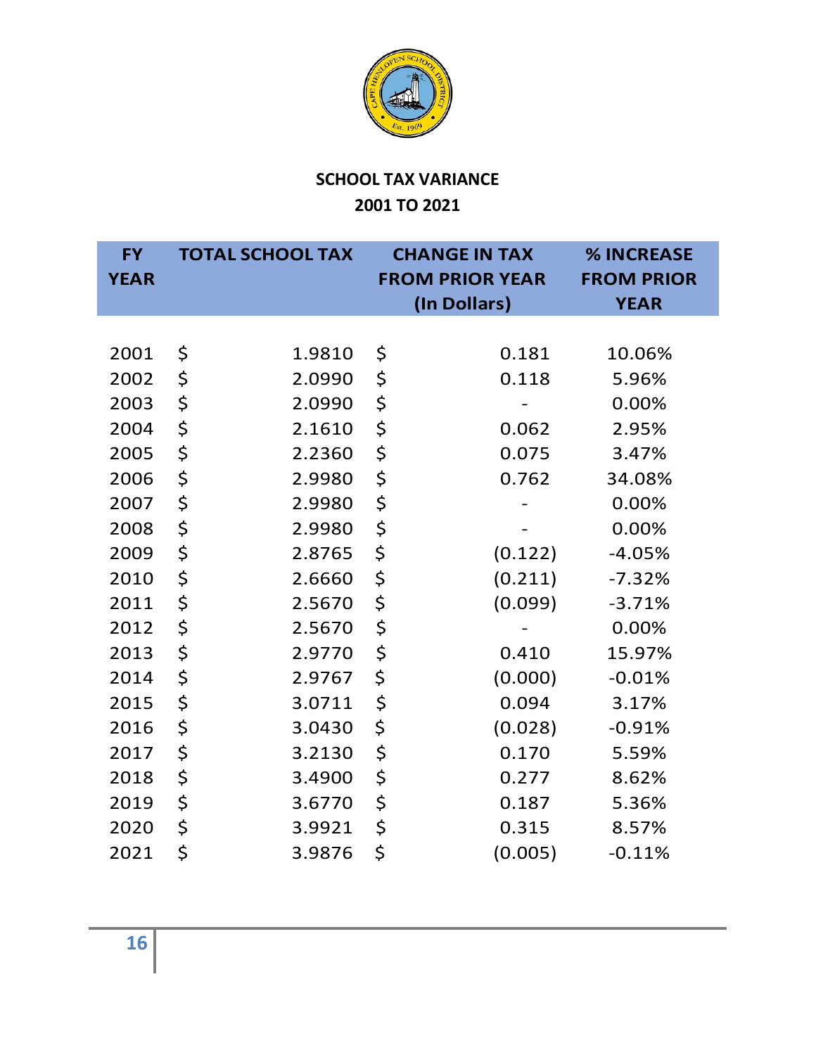

# **SCHOOL TAX VARIANCE TO 2021**

| <b>FY</b>   | <b>TOTAL SCHOOL TAX</b> |    | <b>CHANGE IN TAX</b>   | % INCREASE        |  |
|-------------|-------------------------|----|------------------------|-------------------|--|
| <b>YEAR</b> |                         |    | <b>FROM PRIOR YEAR</b> | <b>FROM PRIOR</b> |  |
|             |                         |    | (In Dollars)           | <b>YEAR</b>       |  |
|             |                         |    |                        |                   |  |
| 2001        | \$<br>1.9810            | \$ | 0.181                  | 10.06%            |  |
| 2002        | \$<br>2.0990            | \$ | 0.118                  | 5.96%             |  |
| 2003        | \$<br>2.0990            | \$ |                        | 0.00%             |  |
| 2004        | \$<br>2.1610            | \$ | 0.062                  | 2.95%             |  |
| 2005        | \$<br>2.2360            | \$ | 0.075                  | 3.47%             |  |
| 2006        | \$<br>2.9980            | \$ | 0.762                  | 34.08%            |  |
| 2007        | \$<br>2.9980            | \$ |                        | 0.00%             |  |
| 2008        | \$<br>2.9980            | \$ |                        | 0.00%             |  |
| 2009        | \$<br>2.8765            | \$ | (0.122)                | $-4.05%$          |  |
| 2010        | \$<br>2.6660            | \$ | (0.211)                | $-7.32%$          |  |
| 2011        | \$<br>2.5670            | \$ | (0.099)                | $-3.71%$          |  |
| 2012        | \$<br>2.5670            | \$ |                        | 0.00%             |  |
| 2013        | \$<br>2.9770            | \$ | 0.410                  | 15.97%            |  |
| 2014        | \$<br>2.9767            | \$ | (0.000)                | $-0.01%$          |  |
| 2015        | \$<br>3.0711            | \$ | 0.094                  | 3.17%             |  |
| 2016        | \$<br>3.0430            | \$ | (0.028)                | $-0.91%$          |  |
| 2017        | \$<br>3.2130            | \$ | 0.170                  | 5.59%             |  |
| 2018        | \$<br>3.4900            | \$ | 0.277                  | 8.62%             |  |
| 2019        | \$<br>3.6770            | \$ | 0.187                  | 5.36%             |  |
| 2020        | \$<br>3.9921            | \$ | 0.315                  | 8.57%             |  |
| 2021        | \$<br>3.9876            | \$ | (0.005)                | $-0.11%$          |  |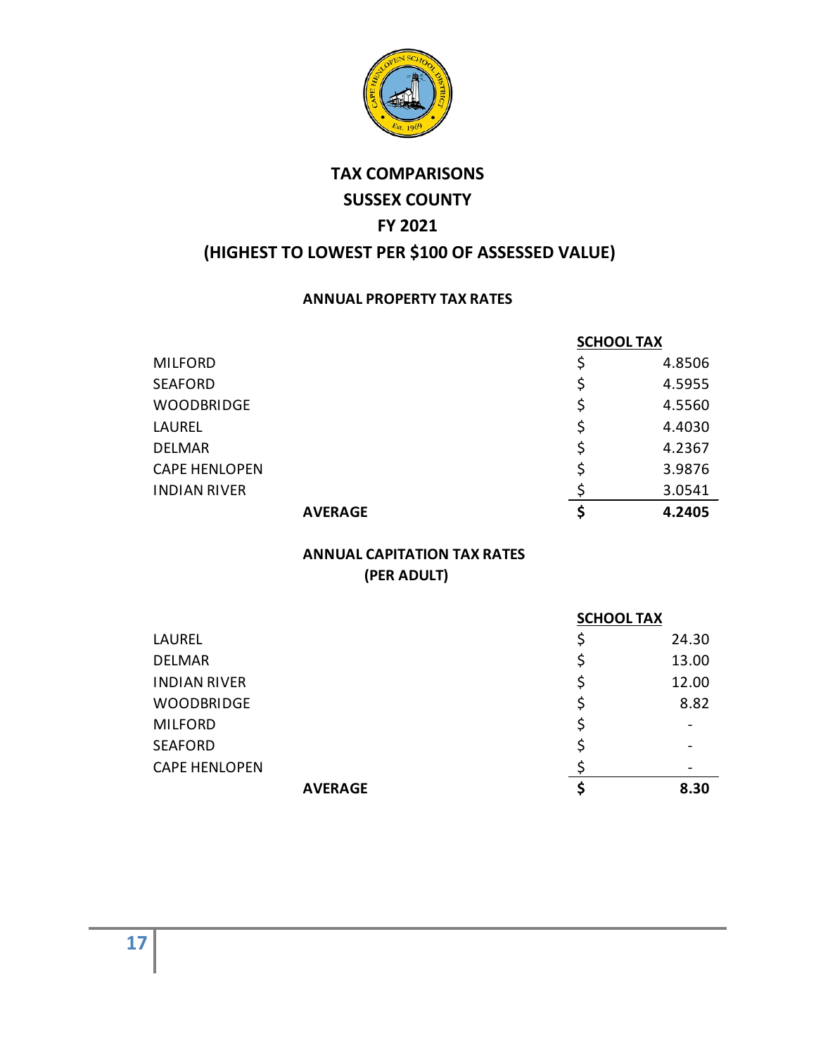

# **TAX COMPARISONS SUSSEX COUNTY FY 2021 (HIGHEST TO LOWEST PER \$100 OF ASSESSED VALUE)**

#### **ANNUAL PROPERTY TAX RATES**

|                      | <b>SCHOOL TAX</b> |  |
|----------------------|-------------------|--|
| <b>MILFORD</b>       | \$<br>4.8506      |  |
| <b>SEAFORD</b>       | \$<br>4.5955      |  |
| <b>WOODBRIDGE</b>    | \$<br>4.5560      |  |
| <b>LAUREL</b>        | \$<br>4.4030      |  |
| <b>DELMAR</b>        | \$<br>4.2367      |  |
| <b>CAPE HENLOPEN</b> | \$<br>3.9876      |  |
| <b>INDIAN RIVER</b>  | 3.0541            |  |
| <b>AVERAGE</b>       | 4.2405            |  |

#### **ANNUAL CAPITATION TAX RATES (PER ADULT)**

|                      | <b>SCHOOL TAX</b> |                          |
|----------------------|-------------------|--------------------------|
| <b>LAUREL</b>        | \$                | 24.30                    |
| <b>DELMAR</b>        | \$                | 13.00                    |
| <b>INDIAN RIVER</b>  | \$                | 12.00                    |
| <b>WOODBRIDGE</b>    |                   | 8.82                     |
| <b>MILFORD</b>       | \$                | $\overline{\phantom{0}}$ |
| <b>SEAFORD</b>       | \$                |                          |
| <b>CAPE HENLOPEN</b> |                   |                          |
| <b>AVERAGE</b>       |                   | 8.30                     |